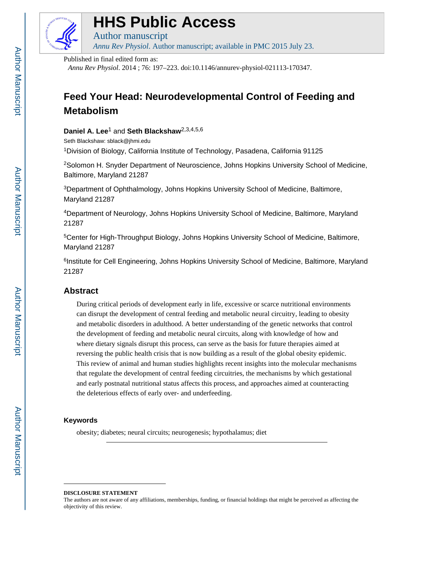

# **HHS Public Access**

Author manuscript *Annu Rev Physiol*. Author manuscript; available in PMC 2015 July 23.

Published in final edited form as:

*Annu Rev Physiol*. 2014 ; 76: 197–223. doi:10.1146/annurev-physiol-021113-170347.

## **Feed Your Head: Neurodevelopmental Control of Feeding and Metabolism**

### **Daniel A. Lee**1 and **Seth Blackshaw**2,3,4,5,6

Seth Blackshaw: sblack@jhmi.edu <sup>1</sup>Division of Biology, California Institute of Technology, Pasadena, California 91125

<sup>2</sup>Solomon H. Snyder Department of Neuroscience, Johns Hopkins University School of Medicine, Baltimore, Maryland 21287

<sup>3</sup>Department of Ophthalmology, Johns Hopkins University School of Medicine, Baltimore, Maryland 21287

<sup>4</sup>Department of Neurology, Johns Hopkins University School of Medicine, Baltimore, Maryland 21287

<sup>5</sup>Center for High-Throughput Biology, Johns Hopkins University School of Medicine, Baltimore, Maryland 21287

<sup>6</sup>Institute for Cell Engineering, Johns Hopkins University School of Medicine, Baltimore, Maryland 21287

## **Abstract**

During critical periods of development early in life, excessive or scarce nutritional environments can disrupt the development of central feeding and metabolic neural circuitry, leading to obesity and metabolic disorders in adulthood. A better understanding of the genetic networks that control the development of feeding and metabolic neural circuits, along with knowledge of how and where dietary signals disrupt this process, can serve as the basis for future therapies aimed at reversing the public health crisis that is now building as a result of the global obesity epidemic. This review of animal and human studies highlights recent insights into the molecular mechanisms that regulate the development of central feeding circuitries, the mechanisms by which gestational and early postnatal nutritional status affects this process, and approaches aimed at counteracting the deleterious effects of early over- and underfeeding.

### **Keywords**

obesity; diabetes; neural circuits; neurogenesis; hypothalamus; diet

**DISCLOSURE STATEMENT**

The authors are not aware of any affiliations, memberships, funding, or financial holdings that might be perceived as affecting the objectivity of this review.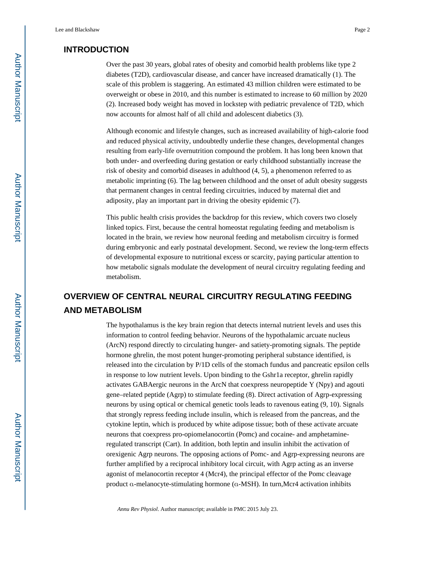## **INTRODUCTION**

Over the past 30 years, global rates of obesity and comorbid health problems like type 2 diabetes (T2D), cardiovascular disease, and cancer have increased dramatically (1). The scale of this problem is staggering. An estimated 43 million children were estimated to be overweight or obese in 2010, and this number is estimated to increase to 60 million by 2020 (2). Increased body weight has moved in lockstep with pediatric prevalence of T2D, which now accounts for almost half of all child and adolescent diabetics (3).

Although economic and lifestyle changes, such as increased availability of high-calorie food and reduced physical activity, undoubtedly underlie these changes, developmental changes resulting from early-life overnutrition compound the problem. It has long been known that both under- and overfeeding during gestation or early childhood substantially increase the risk of obesity and comorbid diseases in adulthood (4, 5), a phenomenon referred to as metabolic imprinting (6). The lag between childhood and the onset of adult obesity suggests that permanent changes in central feeding circuitries, induced by maternal diet and adiposity, play an important part in driving the obesity epidemic (7).

This public health crisis provides the backdrop for this review, which covers two closely linked topics. First, because the central homeostat regulating feeding and metabolism is located in the brain, we review how neuronal feeding and metabolism circuitry is formed during embryonic and early postnatal development. Second, we review the long-term effects of developmental exposure to nutritional excess or scarcity, paying particular attention to how metabolic signals modulate the development of neural circuitry regulating feeding and metabolism.

## **OVERVIEW OF CENTRAL NEURAL CIRCUITRY REGULATING FEEDING AND METABOLISM**

The hypothalamus is the key brain region that detects internal nutrient levels and uses this information to control feeding behavior. Neurons of the hypothalamic arcuate nucleus (ArcN) respond directly to circulating hunger- and satiety-promoting signals. The peptide hormone ghrelin, the most potent hunger-promoting peripheral substance identified, is released into the circulation by P/1D cells of the stomach fundus and pancreatic epsilon cells in response to low nutrient levels. Upon binding to the Gshr1a receptor, ghrelin rapidly activates GABAergic neurons in the ArcN that coexpress neuropeptide Y (Npy) and agouti gene–related peptide (Agrp) to stimulate feeding (8). Direct activation of Agrp-expressing neurons by using optical or chemical genetic tools leads to ravenous eating (9, 10). Signals that strongly repress feeding include insulin, which is released from the pancreas, and the cytokine leptin, which is produced by white adipose tissue; both of these activate arcuate neurons that coexpress pro-opiomelanocortin (Pomc) and cocaine- and amphetamineregulated transcript (Cart). In addition, both leptin and insulin inhibit the activation of orexigenic Agrp neurons. The opposing actions of Pomc- and Agrp-expressing neurons are further amplified by a reciprocal inhibitory local circuit, with Agrp acting as an inverse agonist of melanocortin receptor 4 (Mcr4), the principal effector of the Pomc cleavage product α-melanocyte-stimulating hormone (α-MSH). In turn,Mcr4 activation inhibits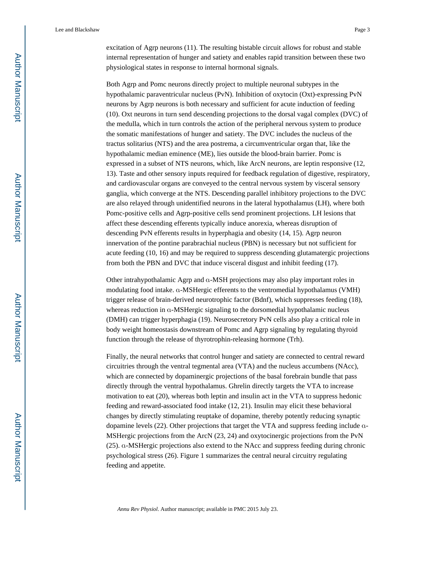excitation of Agrp neurons (11). The resulting bistable circuit allows for robust and stable internal representation of hunger and satiety and enables rapid transition between these two physiological states in response to internal hormonal signals.

Both Agrp and Pomc neurons directly project to multiple neuronal subtypes in the hypothalamic paraventricular nucleus (PvN). Inhibition of oxytocin (Oxt)-expressing PvN neurons by Agrp neurons is both necessary and sufficient for acute induction of feeding (10). Oxt neurons in turn send descending projections to the dorsal vagal complex (DVC) of the medulla, which in turn controls the action of the peripheral nervous system to produce the somatic manifestations of hunger and satiety. The DVC includes the nucleus of the tractus solitarius (NTS) and the area postrema, a circumventricular organ that, like the hypothalamic median eminence (ME), lies outside the blood-brain barrier. Pomc is expressed in a subset of NTS neurons, which, like ArcN neurons, are leptin responsive (12, 13). Taste and other sensory inputs required for feedback regulation of digestive, respiratory, and cardiovascular organs are conveyed to the central nervous system by visceral sensory ganglia, which converge at the NTS. Descending parallel inhibitory projections to the DVC are also relayed through unidentified neurons in the lateral hypothalamus (LH), where both Pomc-positive cells and Agrp-positive cells send prominent projections. LH lesions that affect these descending efferents typically induce anorexia, whereas disruption of descending PvN efferents results in hyperphagia and obesity (14, 15). Agrp neuron innervation of the pontine parabrachial nucleus (PBN) is necessary but not sufficient for acute feeding (10, 16) and may be required to suppress descending glutamatergic projections from both the PBN and DVC that induce visceral disgust and inhibit feeding (17).

Other intrahypothalamic Agrp and α-MSH projections may also play important roles in modulating food intake. α-MSHergic efferents to the ventromedial hypothalamus (VMH) trigger release of brain-derived neurotrophic factor (Bdnf), which suppresses feeding (18), whereas reduction in α-MSHergic signaling to the dorsomedial hypothalamic nucleus (DMH) can trigger hyperphagia (19). Neurosecretory PvN cells also play a critical role in body weight homeostasis downstream of Pomc and Agrp signaling by regulating thyroid function through the release of thyrotrophin-releasing hormone (Trh).

Finally, the neural networks that control hunger and satiety are connected to central reward circuitries through the ventral tegmental area (VTA) and the nucleus accumbens (NAcc), which are connected by dopaminergic projections of the basal forebrain bundle that pass directly through the ventral hypothalamus. Ghrelin directly targets the VTA to increase motivation to eat (20), whereas both leptin and insulin act in the VTA to suppress hedonic feeding and reward-associated food intake (12, 21). Insulin may elicit these behavioral changes by directly stimulating reuptake of dopamine, thereby potently reducing synaptic dopamine levels (22). Other projections that target the VTA and suppress feeding include α-MSHergic projections from the ArcN (23, 24) and oxytocinergic projections from the PvN (25). α-MSHergic projections also extend to the NAcc and suppress feeding during chronic psychological stress (26). Figure 1 summarizes the central neural circuitry regulating feeding and appetite.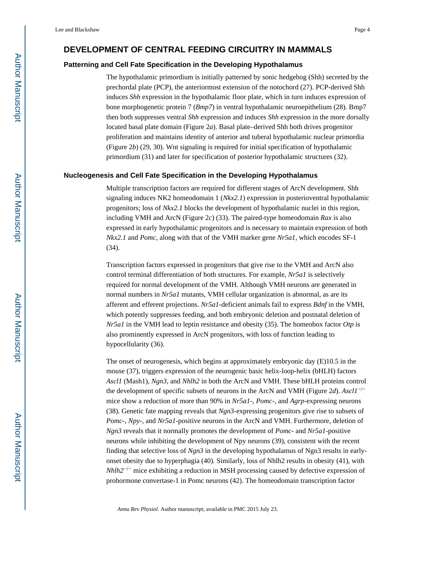### **DEVELOPMENT OF CENTRAL FEEDING CIRCUITRY IN MAMMALS**

#### **Patterning and Cell Fate Specification in the Developing Hypothalamus**

The hypothalamic primordium is initially patterned by sonic hedgehog (Shh) secreted by the prechordal plate (PCP), the anteriormost extension of the notochord (27). PCP-derived Shh induces *Shh* expression in the hypothalamic floor plate, which in turn induces expression of bone morphogenetic protein 7 (*Bmp7*) in ventral hypothalamic neuroepithelium (28). Bmp7 then both suppresses ventral *Shh* expression and induces *Shh* expression in the more dorsally located basal plate domain (Figure 2*a*). Basal plate–derived Shh both drives progenitor proliferation and maintains identity of anterior and tuberal hypothalamic nuclear primordia (Figure 2*b*) (29, 30). Wnt signaling is required for initial specification of hypothalamic primordium (31) and later for specification of posterior hypothalamic structures (32).

#### **Nucleogenesis and Cell Fate Specification in the Developing Hypothalamus**

Multiple transcription factors are required for different stages of ArcN development. Shh signaling induces NK2 homeodomain 1 (*Nkx2.1*) expression in posterioventral hypothalamic progenitors; loss of *Nkx2.1* blocks the development of hypothalamic nuclei in this region, including VMH and ArcN (Figure 2*c*) (33). The paired-type homeodomain *Rax* is also expressed in early hypothalamic progenitors and is necessary to maintain expression of both *Nkx2.1* and *Pomc*, along with that of the VMH marker gene *Nr5a1*, which encodes SF-1 (34).

Transcription factors expressed in progenitors that give rise to the VMH and ArcN also control terminal differentiation of both structures. For example, *Nr5a1* is selectively required for normal development of the VMH. Although VMH neurons are generated in normal numbers in *Nr5a1* mutants, VMH cellular organization is abnormal, as are its afferent and efferent projections. *Nr5a1*-deficient animals fail to express *Bdnf* in the VMH, which potently suppresses feeding, and both embryonic deletion and postnatal deletion of *Nr5a1* in the VMH lead to leptin resistance and obesity (35). The homeobox factor *Otp* is also prominently expressed in ArcN progenitors, with loss of function leading to hypocellularity (36).

The onset of neurogenesis, which begins at approximately embryonic day (E)10.5 in the mouse (37), triggers expression of the neurogenic basic helix-loop-helix (bHLH) factors *Ascl1* (Mash1), *Ngn3*, and *Nhlh2* in both the ArcN and VMH. These bHLH proteins control the development of specific subsets of neurons in the ArcN and VMH (Figure 2*d*). *Ascl1*−/− mice show a reduction of more than 90% in *Nr5a1*-, *Pomc*-, and *Agrp*-expressing neurons (38). Genetic fate mapping reveals that *Ngn3*-expressing progenitors give rise to subsets of *Pomc*-, *Npy*-, and *Nr5a1*-positive neurons in the ArcN and VMH. Furthermore, deletion of *Ngn3* reveals that it normally promotes the development of *Pomc*- and *Nr5a1*-positive neurons while inhibiting the development of Npy neurons (39), consistent with the recent finding that selective loss of *Ngn3* in the developing hypothalamus of Ngn3 results in earlyonset obesity due to hyperphagia (40). Similarly, loss of Nhlh2 results in obesity (41), with *Nhlh2<sup>−/−</sup>* mice exhibiting a reduction in MSH processing caused by defective expression of prohormone convertase-1 in Pomc neurons (42). The homeodomain transcription factor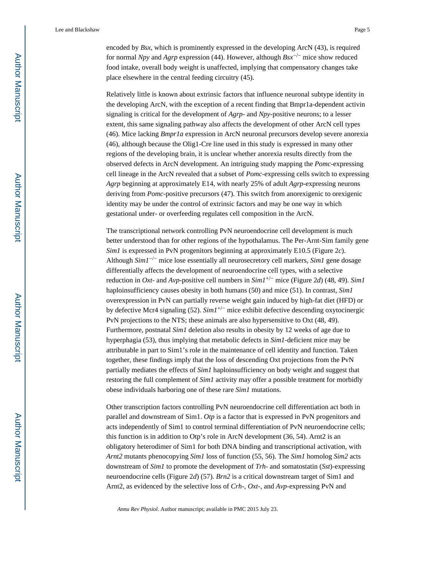encoded by *Bsx*, which is prominently expressed in the developing ArcN (43), is required for normal *Npy* and *Agrp* expression (44). However, although *Bsx*−/− mice show reduced food intake, overall body weight is unaffected, implying that compensatory changes take place elsewhere in the central feeding circuitry (45).

Relatively little is known about extrinsic factors that influence neuronal subtype identity in the developing ArcN, with the exception of a recent finding that Bmpr1a-dependent activin signaling is critical for the development of *Agrp*- and *Npy*-positive neurons; to a lesser extent, this same signaling pathway also affects the development of other ArcN cell types (46). Mice lacking *Bmpr1a* expression in ArcN neuronal precursors develop severe anorexia (46), although because the Olig1-Cre line used in this study is expressed in many other regions of the developing brain, it is unclear whether anorexia results directly from the observed defects in ArcN development. An intriguing study mapping the *Pomc*-expressing cell lineage in the ArcN revealed that a subset of *Pomc*-expressing cells switch to expressing *Agrp* beginning at approximately E14, with nearly 25% of adult *Agrp*-expressing neurons deriving from *Pomc*-positive precursors (47). This switch from anorexigenic to orexigenic identity may be under the control of extrinsic factors and may be one way in which gestational under- or overfeeding regulates cell composition in the ArcN.

The transcriptional network controlling PvN neuroendocrine cell development is much better understood than for other regions of the hypothalamus. The Per-Arnt-Sim family gene *Sim1* is expressed in PvN progenitors beginning at approximately E10.5 (Figure 2*c*). Although *Sim1*−/− mice lose essentially all neurosecretory cell markers, *Sim1* gene dosage differentially affects the development of neuroendocrine cell types, with a selective reduction in *Oxt*- and *Avp*-positive cell numbers in *Sim1*+/− mice (Figure 2*d*) (48, 49). *Sim1*  haploinsufficiency causes obesity in both humans (50) and mice (51). In contrast, *Sim1*  overexpression in PvN can partially reverse weight gain induced by high-fat diet (HFD) or by defective Mcr4 signaling (52). *Sim1*+/− mice exhibit defective descending oxytocinergic PvN projections to the NTS; these animals are also hypersensitive to Oxt (48, 49). Furthermore, postnatal *Sim1* deletion also results in obesity by 12 weeks of age due to hyperphagia (53), thus implying that metabolic defects in *Sim1*-deficient mice may be attributable in part to Sim1's role in the maintenance of cell identity and function. Taken together, these findings imply that the loss of descending Oxt projections from the PvN partially mediates the effects of *Sim1* haploinsufficiency on body weight and suggest that restoring the full complement of *Sim1* activity may offer a possible treatment for morbidly obese individuals harboring one of these rare *Sim1* mutations.

Other transcription factors controlling PvN neuroendocrine cell differentiation act both in parallel and downstream of Sim1. *Otp* is a factor that is expressed in PvN progenitors and acts independently of Sim1 to control terminal differentiation of PvN neuroendocrine cells; this function is in addition to Otp's role in ArcN development (36, 54). Arnt2 is an obligatory heterodimer of Sim1 for both DNA binding and transcriptional activation, with *Arnt2* mutants phenocopying *Sim1* loss of function (55, 56). The *Sim1* homolog *Sim2* acts downstream of *Sim1* to promote the development of *Trh*- and somatostatin (*Sst*)-expressing neuroendocrine cells (Figure 2*d*) (57). *Brn2* is a critical downstream target of Sim1 and Arnt2, as evidenced by the selective loss of *Crh*-, *Oxt*-, and *Avp*-expressing PvN and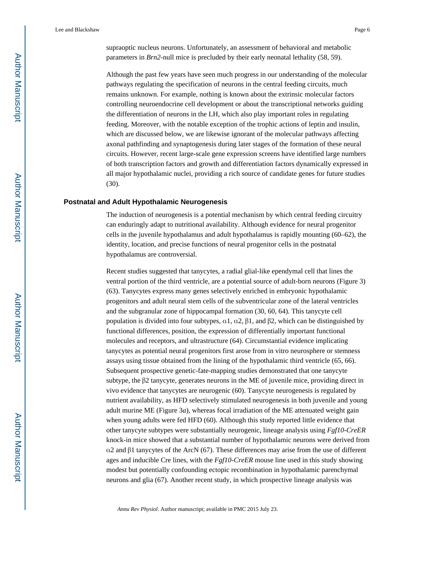supraoptic nucleus neurons. Unfortunately, an assessment of behavioral and metabolic parameters in *Brn2*-null mice is precluded by their early neonatal lethality (58, 59).

Although the past few years have seen much progress in our understanding of the molecular pathways regulating the specification of neurons in the central feeding circuits, much remains unknown. For example, nothing is known about the extrinsic molecular factors controlling neuroendocrine cell development or about the transcriptional networks guiding the differentiation of neurons in the LH, which also play important roles in regulating feeding. Moreover, with the notable exception of the trophic actions of leptin and insulin, which are discussed below, we are likewise ignorant of the molecular pathways affecting axonal pathfinding and synaptogenesis during later stages of the formation of these neural circuits. However, recent large-scale gene expression screens have identified large numbers of both transcription factors and growth and differentiation factors dynamically expressed in all major hypothalamic nuclei, providing a rich source of candidate genes for future studies (30).

#### **Postnatal and Adult Hypothalamic Neurogenesis**

The induction of neurogenesis is a potential mechanism by which central feeding circuitry can enduringly adapt to nutritional availability. Although evidence for neural progenitor cells in the juvenile hypothalamus and adult hypothalamus is rapidly mounting (60–62), the identity, location, and precise functions of neural progenitor cells in the postnatal hypothalamus are controversial.

Recent studies suggested that tanycytes, a radial glial-like ependymal cell that lines the ventral portion of the third ventricle, are a potential source of adult-born neurons (Figure 3) (63). Tanycytes express many genes selectively enriched in embryonic hypothalamic progenitors and adult neural stem cells of the subventricular zone of the lateral ventricles and the subgranular zone of hippocampal formation (30, 60, 64). This tanycyte cell population is divided into four subtypes,  $α1$ ,  $α2$ ,  $β1$ , and  $β2$ , which can be distinguished by functional differences, position, the expression of differentially important functional molecules and receptors, and ultrastructure (64). Circumstantial evidence implicating tanycytes as potential neural progenitors first arose from in vitro neurosphere or stemness assays using tissue obtained from the lining of the hypothalamic third ventricle (65, 66). Subsequent prospective genetic-fate-mapping studies demonstrated that one tanycyte subtype, the β2 tanycyte, generates neurons in the ME of juvenile mice, providing direct in vivo evidence that tanycytes are neurogenic (60). Tanycyte neurogenesis is regulated by nutrient availability, as HFD selectively stimulated neurogenesis in both juvenile and young adult murine ME (Figure 3*a*), whereas focal irradiation of the ME attenuated weight gain when young adults were fed HFD (60). Although this study reported little evidence that other tanycyte subtypes were substantially neurogenic, lineage analysis using *Fgf10-CreER*  knock-in mice showed that a substantial number of hypothalamic neurons were derived from α2 and β1 tanycytes of the ArcN (67). These differences may arise from the use of different ages and inducible Cre lines, with the *Fgf10-CreER* mouse line used in this study showing modest but potentially confounding ectopic recombination in hypothalamic parenchymal neurons and glia (67). Another recent study, in which prospective lineage analysis was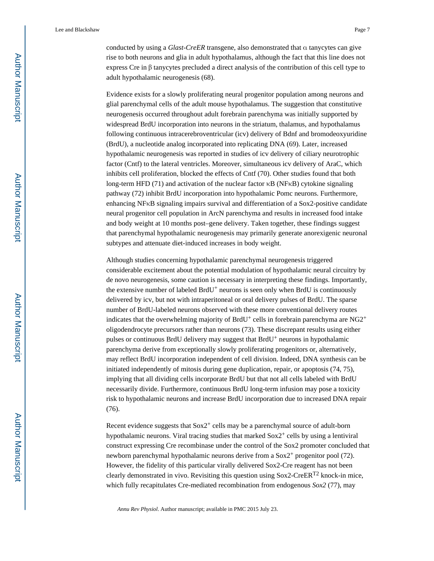conducted by using a *Glast-CreER* transgene, also demonstrated that α tanycytes can give rise to both neurons and glia in adult hypothalamus, although the fact that this line does not express Cre in β tanycytes precluded a direct analysis of the contribution of this cell type to adult hypothalamic neurogenesis (68).

Evidence exists for a slowly proliferating neural progenitor population among neurons and glial parenchymal cells of the adult mouse hypothalamus. The suggestion that constitutive neurogenesis occurred throughout adult forebrain parenchyma was initially supported by widespread BrdU incorporation into neurons in the striatum, thalamus, and hypothalamus following continuous intracerebroventricular (icv) delivery of Bdnf and bromodeoxyuridine (BrdU), a nucleotide analog incorporated into replicating DNA (69). Later, increased hypothalamic neurogenesis was reported in studies of icv delivery of ciliary neurotrophic factor (Cntf) to the lateral ventricles. Moreover, simultaneous icv delivery of AraC, which inhibits cell proliferation, blocked the effects of Cntf (70). Other studies found that both long-term HFD (71) and activation of the nuclear factor κB (NFκB) cytokine signaling pathway (72) inhibit BrdU incorporation into hypothalamic Pomc neurons. Furthermore, enhancing NFκB signaling impairs survival and differentiation of a Sox2-positive candidate neural progenitor cell population in ArcN parenchyma and results in increased food intake and body weight at 10 months post–gene delivery. Taken together, these findings suggest that parenchymal hypothalamic neurogenesis may primarily generate anorexigenic neuronal subtypes and attenuate diet-induced increases in body weight.

Although studies concerning hypothalamic parenchymal neurogenesis triggered considerable excitement about the potential modulation of hypothalamic neural circuitry by de novo neurogenesis, some caution is necessary in interpreting these findings. Importantly, the extensive number of labeled  $BrdU^+$  neurons is seen only when  $BrdU$  is continuously delivered by icv, but not with intraperitoneal or oral delivery pulses of BrdU. The sparse number of BrdU-labeled neurons observed with these more conventional delivery routes indicates that the overwhelming majority of BrdU<sup>+</sup> cells in forebrain parenchyma are NG2<sup>+</sup> oligodendrocyte precursors rather than neurons (73). These discrepant results using either pulses or continuous BrdU delivery may suggest that BrdU+ neurons in hypothalamic parenchyma derive from exceptionally slowly proliferating progenitors or, alternatively, may reflect BrdU incorporation independent of cell division. Indeed, DNA synthesis can be initiated independently of mitosis during gene duplication, repair, or apoptosis (74, 75), implying that all dividing cells incorporate BrdU but that not all cells labeled with BrdU necessarily divide. Furthermore, continuous BrdU long-term infusion may pose a toxicity risk to hypothalamic neurons and increase BrdU incorporation due to increased DNA repair (76).

Recent evidence suggests that  $Sox2^+$  cells may be a parenchymal source of adult-born hypothalamic neurons. Viral tracing studies that marked  $Sox2^+$  cells by using a lentiviral construct expressing Cre recombinase under the control of the Sox2 promoter concluded that newborn parenchymal hypothalamic neurons derive from a Sox2<sup>+</sup> progenitor pool (72). However, the fidelity of this particular virally delivered Sox2-Cre reagent has not been clearly demonstrated in vivo. Revisiting this question using  $Sox2-CreER^{T2}$  knock-in mice, which fully recapitulates Cre-mediated recombination from endogenous *Sox2* (77), may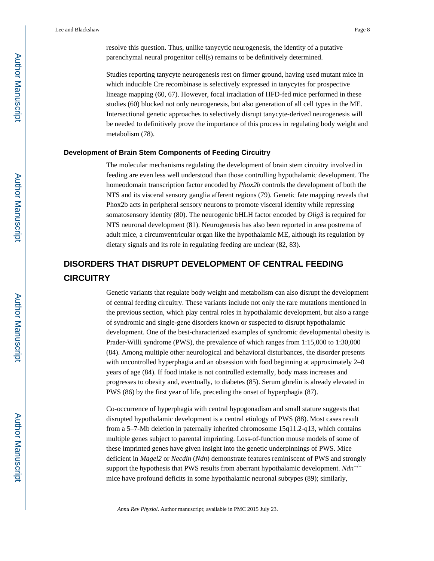resolve this question. Thus, unlike tanycytic neurogenesis, the identity of a putative parenchymal neural progenitor cell(s) remains to be definitively determined.

Studies reporting tanycyte neurogenesis rest on firmer ground, having used mutant mice in which inducible Cre recombinase is selectively expressed in tanycytes for prospective lineage mapping (60, 67). However, focal irradiation of HFD-fed mice performed in these studies (60) blocked not only neurogenesis, but also generation of all cell types in the ME. Intersectional genetic approaches to selectively disrupt tanycyte-derived neurogenesis will be needed to definitively prove the importance of this process in regulating body weight and metabolism (78).

#### **Development of Brain Stem Components of Feeding Circuitry**

The molecular mechanisms regulating the development of brain stem circuitry involved in feeding are even less well understood than those controlling hypothalamic development. The homeodomain transcription factor encoded by *Phox2b* controls the development of both the NTS and its visceral sensory ganglia afferent regions (79). Genetic fate mapping reveals that Phox2b acts in peripheral sensory neurons to promote visceral identity while repressing somatosensory identity (80). The neurogenic bHLH factor encoded by *Olig3* is required for NTS neuronal development (81). Neurogenesis has also been reported in area postrema of adult mice, a circumventricular organ like the hypothalamic ME, although its regulation by dietary signals and its role in regulating feeding are unclear (82, 83).

## **DISORDERS THAT DISRUPT DEVELOPMENT OF CENTRAL FEEDING CIRCUITRY**

Genetic variants that regulate body weight and metabolism can also disrupt the development of central feeding circuitry. These variants include not only the rare mutations mentioned in the previous section, which play central roles in hypothalamic development, but also a range of syndromic and single-gene disorders known or suspected to disrupt hypothalamic development. One of the best-characterized examples of syndromic developmental obesity is Prader-Willi syndrome (PWS), the prevalence of which ranges from 1:15,000 to 1:30,000 (84). Among multiple other neurological and behavioral disturbances, the disorder presents with uncontrolled hyperphagia and an obsession with food beginning at approximately 2–8 years of age (84). If food intake is not controlled externally, body mass increases and progresses to obesity and, eventually, to diabetes (85). Serum ghrelin is already elevated in PWS (86) by the first year of life, preceding the onset of hyperphagia (87).

Co-occurrence of hyperphagia with central hypogonadism and small stature suggests that disrupted hypothalamic development is a central etiology of PWS (88). Most cases result from a 5–7-Mb deletion in paternally inherited chromosome 15q11.2-q13, which contains multiple genes subject to parental imprinting. Loss-of-function mouse models of some of these imprinted genes have given insight into the genetic underpinnings of PWS. Mice deficient in *Magel2* or *Necdin* (*Ndn*) demonstrate features reminiscent of PWS and strongly support the hypothesis that PWS results from aberrant hypothalamic development. *Ndn*−/− mice have profound deficits in some hypothalamic neuronal subtypes (89); similarly,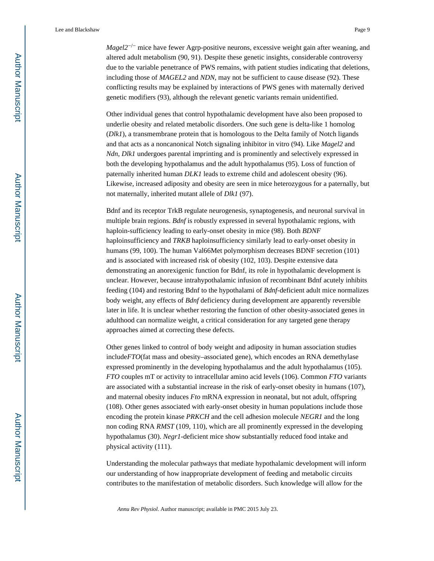*Magel2<sup>−/−</sup>* mice have fewer Agrp-positive neurons, excessive weight gain after weaning, and altered adult metabolism (90, 91). Despite these genetic insights, considerable controversy due to the variable penetrance of PWS remains, with patient studies indicating that deletions, including those of *MAGEL2* and *NDN*, may not be sufficient to cause disease (92). These conflicting results may be explained by interactions of PWS genes with maternally derived genetic modifiers (93), although the relevant genetic variants remain unidentified.

Other individual genes that control hypothalamic development have also been proposed to underlie obesity and related metabolic disorders. One such gene is delta-like 1 homolog (*Dlk1*), a transmembrane protein that is homologous to the Delta family of Notch ligands and that acts as a noncanonical Notch signaling inhibitor in vitro (94). Like *Magel2* and *Ndn*, *Dlk1* undergoes parental imprinting and is prominently and selectively expressed in both the developing hypothalamus and the adult hypothalamus (95). Loss of function of paternally inherited human *DLK1* leads to extreme child and adolescent obesity (96). Likewise, increased adiposity and obesity are seen in mice heterozygous for a paternally, but not maternally, inherited mutant allele of *Dlk1* (97).

Bdnf and its receptor TrkB regulate neurogenesis, synaptogenesis, and neuronal survival in multiple brain regions. *Bdnf* is robustly expressed in several hypothalamic regions, with haploin-sufficiency leading to early-onset obesity in mice (98). Both *BDNF*  haploinsufficiency and *TRKB* haploinsufficiency similarly lead to early-onset obesity in humans (99, 100). The human Val66Met polymorphism decreases BDNF secretion (101) and is associated with increased risk of obesity (102, 103). Despite extensive data demonstrating an anorexigenic function for Bdnf, its role in hypothalamic development is unclear. However, because intrahypothalamic infusion of recombinant Bdnf acutely inhibits feeding (104) and restoring Bdnf to the hypothalami of *Bdnf*-deficient adult mice normalizes body weight, any effects of *Bdnf* deficiency during development are apparently reversible later in life. It is unclear whether restoring the function of other obesity-associated genes in adulthood can normalize weight, a critical consideration for any targeted gene therapy approaches aimed at correcting these defects.

Other genes linked to control of body weight and adiposity in human association studies include*FTO*(fat mass and obesity–associated gene), which encodes an RNA demethylase expressed prominently in the developing hypothalamus and the adult hypothalamus (105). *FTO* couples mT or activity to intracellular amino acid levels (106). Common *FTO* variants are associated with a substantial increase in the risk of early-onset obesity in humans (107), and maternal obesity induces *Fto* mRNA expression in neonatal, but not adult, offspring (108). Other genes associated with early-onset obesity in human populations include those encoding the protein kinase *PRKCH* and the cell adhesion molecule *NEGR1* and the long non coding RNA *RMST* (109, 110), which are all prominently expressed in the developing hypothalamus (30). *Negr1*-deficient mice show substantially reduced food intake and physical activity (111).

Understanding the molecular pathways that mediate hypothalamic development will inform our understanding of how inappropriate development of feeding and metabolic circuits contributes to the manifestation of metabolic disorders. Such knowledge will allow for the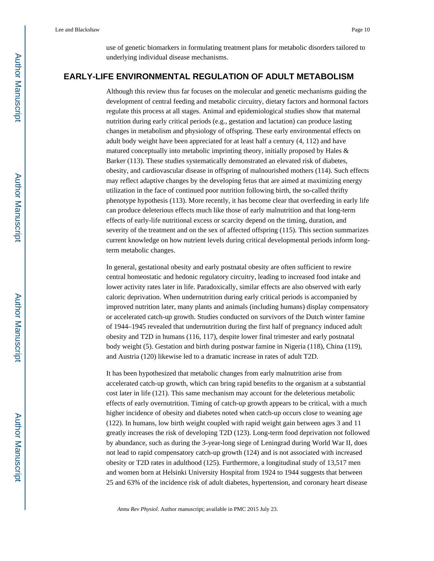use of genetic biomarkers in formulating treatment plans for metabolic disorders tailored to underlying individual disease mechanisms.

## **EARLY-LIFE ENVIRONMENTAL REGULATION OF ADULT METABOLISM**

Although this review thus far focuses on the molecular and genetic mechanisms guiding the development of central feeding and metabolic circuitry, dietary factors and hormonal factors regulate this process at all stages. Animal and epidemiological studies show that maternal nutrition during early critical periods (e.g., gestation and lactation) can produce lasting changes in metabolism and physiology of offspring. These early environmental effects on adult body weight have been appreciated for at least half a century (4, 112) and have matured conceptually into metabolic imprinting theory, initially proposed by Hales & Barker (113). These studies systematically demonstrated an elevated risk of diabetes, obesity, and cardiovascular disease in offspring of malnourished mothers (114). Such effects may reflect adaptive changes by the developing fetus that are aimed at maximizing energy utilization in the face of continued poor nutrition following birth, the so-called thrifty phenotype hypothesis (113). More recently, it has become clear that overfeeding in early life can produce deleterious effects much like those of early malnutrition and that long-term effects of early-life nutritional excess or scarcity depend on the timing, duration, and severity of the treatment and on the sex of affected offspring (115). This section summarizes current knowledge on how nutrient levels during critical developmental periods inform longterm metabolic changes.

In general, gestational obesity and early postnatal obesity are often sufficient to rewire central homeostatic and hedonic regulatory circuitry, leading to increased food intake and lower activity rates later in life. Paradoxically, similar effects are also observed with early caloric deprivation. When undernutrition during early critical periods is accompanied by improved nutrition later, many plants and animals (including humans) display compensatory or accelerated catch-up growth. Studies conducted on survivors of the Dutch winter famine of 1944–1945 revealed that undernutrition during the first half of pregnancy induced adult obesity and T2D in humans (116, 117), despite lower final trimester and early postnatal body weight (5). Gestation and birth during postwar famine in Nigeria (118), China (119), and Austria (120) likewise led to a dramatic increase in rates of adult T2D.

It has been hypothesized that metabolic changes from early malnutrition arise from accelerated catch-up growth, which can bring rapid benefits to the organism at a substantial cost later in life (121). This same mechanism may account for the deleterious metabolic effects of early overnutrition. Timing of catch-up growth appears to be critical, with a much higher incidence of obesity and diabetes noted when catch-up occurs close to weaning age (122). In humans, low birth weight coupled with rapid weight gain between ages 3 and 11 greatly increases the risk of developing T2D (123). Long-term food deprivation not followed by abundance, such as during the 3-year-long siege of Leningrad during World War II, does not lead to rapid compensatory catch-up growth (124) and is not associated with increased obesity or T2D rates in adulthood (125). Furthermore, a longitudinal study of 13,517 men and women born at Helsinki University Hospital from 1924 to 1944 suggests that between 25 and 63% of the incidence risk of adult diabetes, hypertension, and coronary heart disease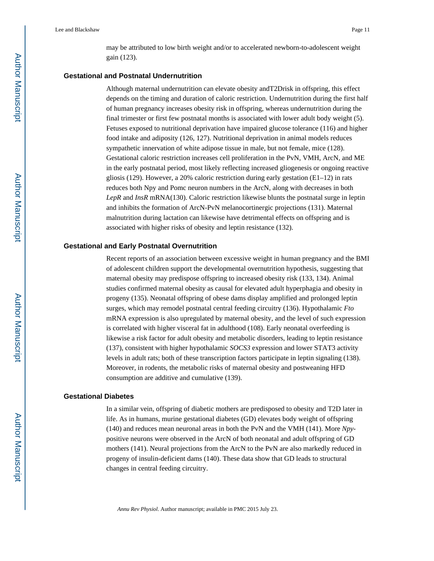may be attributed to low birth weight and/or to accelerated newborn-to-adolescent weight gain (123).

#### **Gestational and Postnatal Undernutrition**

Although maternal undernutrition can elevate obesity andT2Drisk in offspring, this effect depends on the timing and duration of caloric restriction. Undernutrition during the first half of human pregnancy increases obesity risk in offspring, whereas undernutrition during the final trimester or first few postnatal months is associated with lower adult body weight (5). Fetuses exposed to nutritional deprivation have impaired glucose tolerance (116) and higher food intake and adiposity (126, 127). Nutritional deprivation in animal models reduces sympathetic innervation of white adipose tissue in male, but not female, mice (128). Gestational caloric restriction increases cell proliferation in the PvN, VMH, ArcN, and ME in the early postnatal period, most likely reflecting increased gliogenesis or ongoing reactive gliosis (129). However, a 20% caloric restriction during early gestation  $(E1-12)$  in rats reduces both Npy and Pomc neuron numbers in the ArcN, along with decreases in both *LepR* and *InsR* mRNA(130). Caloric restriction likewise blunts the postnatal surge in leptin and inhibits the formation of ArcN-PvN melanocortinergic projections (131). Maternal malnutrition during lactation can likewise have detrimental effects on offspring and is associated with higher risks of obesity and leptin resistance (132).

#### **Gestational and Early Postnatal Overnutrition**

Recent reports of an association between excessive weight in human pregnancy and the BMI of adolescent children support the developmental overnutrition hypothesis, suggesting that maternal obesity may predispose offspring to increased obesity risk (133, 134). Animal studies confirmed maternal obesity as causal for elevated adult hyperphagia and obesity in progeny (135). Neonatal offspring of obese dams display amplified and prolonged leptin surges, which may remodel postnatal central feeding circuitry (136). Hypothalamic *Fto*  mRNA expression is also upregulated by maternal obesity, and the level of such expression is correlated with higher visceral fat in adulthood (108). Early neonatal overfeeding is likewise a risk factor for adult obesity and metabolic disorders, leading to leptin resistance (137), consistent with higher hypothalamic *SOCS3* expression and lower STAT3 activity levels in adult rats; both of these transcription factors participate in leptin signaling (138). Moreover, in rodents, the metabolic risks of maternal obesity and postweaning HFD consumption are additive and cumulative (139).

#### **Gestational Diabetes**

In a similar vein, offspring of diabetic mothers are predisposed to obesity and T2D later in life. As in humans, murine gestational diabetes (GD) elevates body weight of offspring (140) and reduces mean neuronal areas in both the PvN and the VMH (141). More *Npy*positive neurons were observed in the ArcN of both neonatal and adult offspring of GD mothers (141). Neural projections from the ArcN to the PvN are also markedly reduced in progeny of insulin-deficient dams (140). These data show that GD leads to structural changes in central feeding circuitry.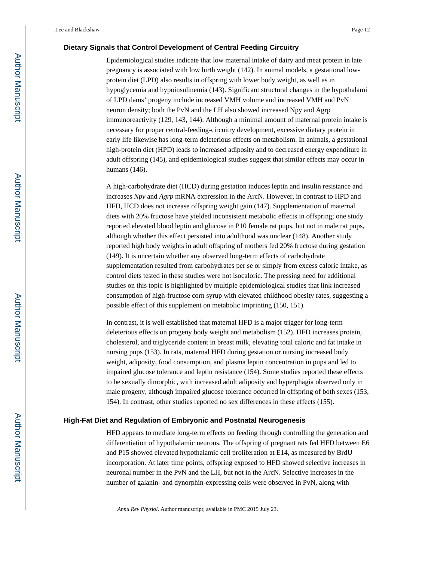#### **Dietary Signals that Control Development of Central Feeding Circuitry**

Epidemiological studies indicate that low maternal intake of dairy and meat protein in late pregnancy is associated with low birth weight (142). In animal models, a gestational lowprotein diet (LPD) also results in offspring with lower body weight, as well as in hypoglycemia and hypoinsulinemia (143). Significant structural changes in the hypothalami of LPD dams' progeny include increased VMH volume and increased VMH and PvN neuron density; both the PvN and the LH also showed increased Npy and Agrp immunoreactivity (129, 143, 144). Although a minimal amount of maternal protein intake is necessary for proper central-feeding-circuitry development, excessive dietary protein in early life likewise has long-term deleterious effects on metabolism. In animals, a gestational high-protein diet (HPD) leads to increased adiposity and to decreased energy expenditure in adult offspring (145), and epidemiological studies suggest that similar effects may occur in humans (146).

A high-carbohydrate diet (HCD) during gestation induces leptin and insulin resistance and increases *Npy* and *Agrp* mRNA expression in the ArcN. However, in contrast to HPD and HFD, HCD does not increase offspring weight gain (147). Supplementation of maternal diets with 20% fructose have yielded inconsistent metabolic effects in offspring; one study reported elevated blood leptin and glucose in P10 female rat pups, but not in male rat pups, although whether this effect persisted into adulthood was unclear (148). Another study reported high body weights in adult offspring of mothers fed 20% fructose during gestation (149). It is uncertain whether any observed long-term effects of carbohydrate supplementation resulted from carbohydrates per se or simply from excess caloric intake, as control diets tested in these studies were not isocaloric. The pressing need for additional studies on this topic is highlighted by multiple epidemiological studies that link increased consumption of high-fructose corn syrup with elevated childhood obesity rates, suggesting a possible effect of this supplement on metabolic imprinting (150, 151).

In contrast, it is well established that maternal HFD is a major trigger for long-term deleterious effects on progeny body weight and metabolism (152). HFD increases protein, cholesterol, and triglyceride content in breast milk, elevating total caloric and fat intake in nursing pups (153). In rats, maternal HFD during gestation or nursing increased body weight, adiposity, food consumption, and plasma leptin concentration in pups and led to impaired glucose tolerance and leptin resistance (154). Some studies reported these effects to be sexually dimorphic, with increased adult adiposity and hyperphagia observed only in male progeny, although impaired glucose tolerance occurred in offspring of both sexes (153, 154). In contrast, other studies reported no sex differences in these effects (155).

#### **High-Fat Diet and Regulation of Embryonic and Postnatal Neurogenesis**

HFD appears to mediate long-term effects on feeding through controlling the generation and differentiation of hypothalamic neurons. The offspring of pregnant rats fed HFD between E6 and P15 showed elevated hypothalamic cell proliferation at E14, as measured by BrdU incorporation. At later time points, offspring exposed to HFD showed selective increases in neuronal number in the PvN and the LH, but not in the ArcN. Selective increases in the number of galanin- and dynorphin-expressing cells were observed in PvN, along with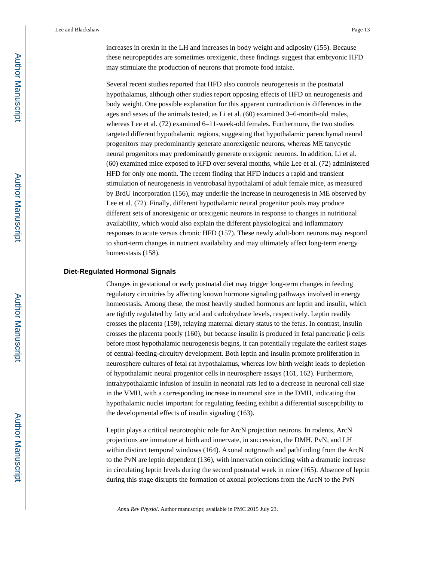increases in orexin in the LH and increases in body weight and adiposity (155). Because these neuropeptides are sometimes orexigenic, these findings suggest that embryonic HFD may stimulate the production of neurons that promote food intake.

Several recent studies reported that HFD also controls neurogenesis in the postnatal hypothalamus, although other studies report opposing effects of HFD on neurogenesis and body weight. One possible explanation for this apparent contradiction is differences in the ages and sexes of the animals tested, as Li et al. (60) examined 3–6-month-old males, whereas Lee et al. (72) examined 6–11-week-old females. Furthermore, the two studies targeted different hypothalamic regions, suggesting that hypothalamic parenchymal neural progenitors may predominantly generate anorexigenic neurons, whereas ME tanycytic neural progenitors may predominantly generate orexigenic neurons. In addition, Li et al. (60) examined mice exposed to HFD over several months, while Lee et al. (72) administered HFD for only one month. The recent finding that HFD induces a rapid and transient stimulation of neurogenesis in ventrobasal hypothalami of adult female mice, as measured by BrdU incorporation (156), may underlie the increase in neurogenesis in ME observed by Lee et al. (72). Finally, different hypothalamic neural progenitor pools may produce different sets of anorexigenic or orexigenic neurons in response to changes in nutritional availability, which would also explain the different physiological and inflammatory responses to acute versus chronic HFD (157). These newly adult-born neurons may respond to short-term changes in nutrient availability and may ultimately affect long-term energy homeostasis (158).

#### **Diet-Regulated Hormonal Signals**

Changes in gestational or early postnatal diet may trigger long-term changes in feeding regulatory circuitries by affecting known hormone signaling pathways involved in energy homeostasis. Among these, the most heavily studied hormones are leptin and insulin, which are tightly regulated by fatty acid and carbohydrate levels, respectively. Leptin readily crosses the placenta (159), relaying maternal dietary status to the fetus. In contrast, insulin crosses the placenta poorly (160), but because insulin is produced in fetal pancreatic β cells before most hypothalamic neurogenesis begins, it can potentially regulate the earliest stages of central-feeding-circuitry development. Both leptin and insulin promote proliferation in neurosphere cultures of fetal rat hypothalamus, whereas low birth weight leads to depletion of hypothalamic neural progenitor cells in neurosphere assays (161, 162). Furthermore, intrahypothalamic infusion of insulin in neonatal rats led to a decrease in neuronal cell size in the VMH, with a corresponding increase in neuronal size in the DMH, indicating that hypothalamic nuclei important for regulating feeding exhibit a differential susceptibility to the developmental effects of insulin signaling (163).

Leptin plays a critical neurotrophic role for ArcN projection neurons. In rodents, ArcN projections are immature at birth and innervate, in succession, the DMH, PvN, and LH within distinct temporal windows (164). Axonal outgrowth and pathfinding from the ArcN to the PvN are leptin dependent (136), with innervation coinciding with a dramatic increase in circulating leptin levels during the second postnatal week in mice (165). Absence of leptin during this stage disrupts the formation of axonal projections from the ArcN to the PvN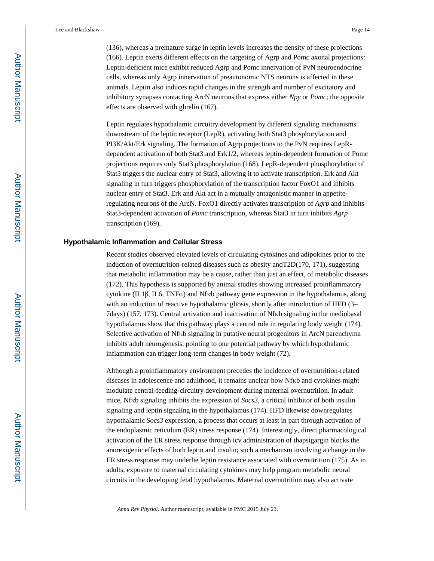(136), whereas a premature surge in leptin levels increases the density of these projections (166). Leptin exerts different effects on the targeting of Agrp and Pomc axonal projections: Leptin-deficient mice exhibit reduced Agrp and Pomc innervation of PvN neuroendocrine cells, whereas only Agrp innervation of preautonomic NTS neurons is affected in these animals. Leptin also induces rapid changes in the strength and number of excitatory and inhibitory synapses contacting ArcN neurons that express either *Npy* or *Pomc*; the opposite effects are observed with ghrelin (167).

Leptin regulates hypothalamic circuitry development by different signaling mechanisms downstream of the leptin receptor (LepR), activating both Stat3 phosphorylation and PI3K/Akt/Erk signaling. The formation of Agrp projections to the PvN requires LepRdependent activation of both Stat3 and Erk1/2, whereas leptin-dependent formation of Pomc projections requires only Stat3 phosphorylation (168). LepR-dependent phosphorylation of Stat3 triggers the nuclear entry of Stat3, allowing it to activate transcription. Erk and Akt signaling in turn triggers phosphorylation of the transcription factor FoxO1 and inhibits nuclear entry of Stat3. Erk and Akt act in a mutually antagonistic manner in appetiteregulating neurons of the ArcN. FoxO1 directly activates transcription of *Agrp* and inhibits Stat3-dependent activation of *Pomc* transcription, whereas Stat3 in turn inhibits *Agrp*  transcription (169).

#### **Hypothalamic Inflammation and Cellular Stress**

Recent studies observed elevated levels of circulating cytokines and adipokines prior to the induction of overnutrition-related diseases such as obesity andT2D(170, 171), suggesting that metabolic inflammation may be a cause, rather than just an effect, of metabolic diseases (172). This hypothesis is supported by animal studies showing increased proinflammatory cytokine (IL1β, IL6, TNFα) and Nfκb pathway gene expression in the hypothalamus, along with an induction of reactive hypothalamic gliosis, shortly after introduction of HFD (3– 7days) (157, 173). Central activation and inactivation of Nfκb signaling in the mediobasal hypothalamus show that this pathway plays a central role in regulating body weight (174). Selective activation of Nf<sub>K</sub>b signaling in putative neural progenitors in ArcN parenchyma inhibits adult neurogenesis, pointing to one potential pathway by which hypothalamic inflammation can trigger long-term changes in body weight (72).

Although a proinflammatory environment precedes the incidence of overnutrition-related diseases in adolescence and adulthood, it remains unclear how Nfκb and cytokines might modulate central-feeding-circuitry development during maternal overnutrition. In adult mice, Nfκb signaling inhibits the expression of *Socs3*, a critical inhibitor of both insulin signaling and leptin signaling in the hypothalamus (174). HFD likewise downregulates hypothalamic *Socs3* expression, a process that occurs at least in part through activation of the endoplasmic reticulum (ER) stress response (174). Interestingly, direct pharmacological activation of the ER stress response through icv administration of thapsigargin blocks the anorexigenic effects of both leptin and insulin; such a mechanism involving a change in the ER stress response may underlie leptin resistance associated with overnutrition (175). As in adults, exposure to maternal circulating cytokines may help program metabolic neural circuits in the developing fetal hypothalamus. Maternal overnutrition may also activate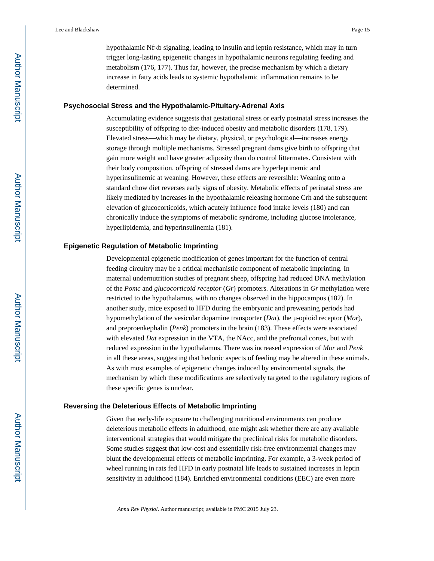hypothalamic Nfκb signaling, leading to insulin and leptin resistance, which may in turn trigger long-lasting epigenetic changes in hypothalamic neurons regulating feeding and metabolism (176, 177). Thus far, however, the precise mechanism by which a dietary increase in fatty acids leads to systemic hypothalamic inflammation remains to be determined.

#### **Psychosocial Stress and the Hypothalamic-Pituitary-Adrenal Axis**

Accumulating evidence suggests that gestational stress or early postnatal stress increases the susceptibility of offspring to diet-induced obesity and metabolic disorders (178, 179). Elevated stress—which may be dietary, physical, or psychological—increases energy storage through multiple mechanisms. Stressed pregnant dams give birth to offspring that gain more weight and have greater adiposity than do control littermates. Consistent with their body composition, offspring of stressed dams are hyperleptinemic and hyperinsulinemic at weaning. However, these effects are reversible: Weaning onto a standard chow diet reverses early signs of obesity. Metabolic effects of perinatal stress are likely mediated by increases in the hypothalamic releasing hormone Crh and the subsequent elevation of glucocorticoids, which acutely influence food intake levels (180) and can chronically induce the symptoms of metabolic syndrome, including glucose intolerance, hyperlipidemia, and hyperinsulinemia (181).

#### **Epigenetic Regulation of Metabolic Imprinting**

Developmental epigenetic modification of genes important for the function of central feeding circuitry may be a critical mechanistic component of metabolic imprinting. In maternal undernutrition studies of pregnant sheep, offspring had reduced DNA methylation of the *Pomc* and *glucocorticoid receptor* (*Gr*) promoters. Alterations in *Gr* methylation were restricted to the hypothalamus, with no changes observed in the hippocampus (182). In another study, mice exposed to HFD during the embryonic and preweaning periods had hypomethylation of the vesicular dopamine transporter (*Dat*), the µ-opioid receptor (*Mor*), and preproenkephalin (*Penk*) promoters in the brain (183). These effects were associated with elevated *Dat* expression in the VTA, the NAcc, and the prefrontal cortex, but with reduced expression in the hypothalamus. There was increased expression of *Mor* and *Penk*  in all these areas, suggesting that hedonic aspects of feeding may be altered in these animals. As with most examples of epigenetic changes induced by environmental signals, the mechanism by which these modifications are selectively targeted to the regulatory regions of these specific genes is unclear.

#### **Reversing the Deleterious Effects of Metabolic Imprinting**

Given that early-life exposure to challenging nutritional environments can produce deleterious metabolic effects in adulthood, one might ask whether there are any available interventional strategies that would mitigate the preclinical risks for metabolic disorders. Some studies suggest that low-cost and essentially risk-free environmental changes may blunt the developmental effects of metabolic imprinting. For example, a 3-week period of wheel running in rats fed HFD in early postnatal life leads to sustained increases in leptin sensitivity in adulthood (184). Enriched environmental conditions (EEC) are even more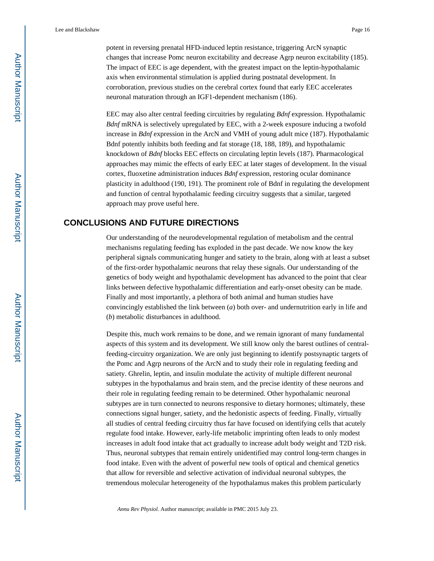potent in reversing prenatal HFD-induced leptin resistance, triggering ArcN synaptic changes that increase Pomc neuron excitability and decrease Agrp neuron excitability (185). The impact of EEC is age dependent, with the greatest impact on the leptin-hypothalamic axis when environmental stimulation is applied during postnatal development. In corroboration, previous studies on the cerebral cortex found that early EEC accelerates neuronal maturation through an IGF1-dependent mechanism (186).

EEC may also alter central feeding circuitries by regulating *Bdnf* expression. Hypothalamic *Bdnf* mRNA is selectively upregulated by EEC, with a 2-week exposure inducing a twofold increase in *Bdnf* expression in the ArcN and VMH of young adult mice (187). Hypothalamic Bdnf potently inhibits both feeding and fat storage (18, 188, 189), and hypothalamic knockdown of *Bdnf* blocks EEC effects on circulating leptin levels (187). Pharmacological approaches may mimic the effects of early EEC at later stages of development. In the visual cortex, fluoxetine administration induces *Bdnf* expression, restoring ocular dominance plasticity in adulthood (190, 191). The prominent role of Bdnf in regulating the development and function of central hypothalamic feeding circuitry suggests that a similar, targeted approach may prove useful here.

## **CONCLUSIONS AND FUTURE DIRECTIONS**

Our understanding of the neurodevelopmental regulation of metabolism and the central mechanisms regulating feeding has exploded in the past decade. We now know the key peripheral signals communicating hunger and satiety to the brain, along with at least a subset of the first-order hypothalamic neurons that relay these signals. Our understanding of the genetics of body weight and hypothalamic development has advanced to the point that clear links between defective hypothalamic differentiation and early-onset obesity can be made. Finally and most importantly, a plethora of both animal and human studies have convincingly established the link between (*a*) both over- and undernutrition early in life and (*b*) metabolic disturbances in adulthood.

Despite this, much work remains to be done, and we remain ignorant of many fundamental aspects of this system and its development. We still know only the barest outlines of centralfeeding-circuitry organization. We are only just beginning to identify postsynaptic targets of the Pomc and Agrp neurons of the ArcN and to study their role in regulating feeding and satiety. Ghrelin, leptin, and insulin modulate the activity of multiple different neuronal subtypes in the hypothalamus and brain stem, and the precise identity of these neurons and their role in regulating feeding remain to be determined. Other hypothalamic neuronal subtypes are in turn connected to neurons responsive to dietary hormones; ultimately, these connections signal hunger, satiety, and the hedonistic aspects of feeding. Finally, virtually all studies of central feeding circuitry thus far have focused on identifying cells that acutely regulate food intake. However, early-life metabolic imprinting often leads to only modest increases in adult food intake that act gradually to increase adult body weight and T2D risk. Thus, neuronal subtypes that remain entirely unidentified may control long-term changes in food intake. Even with the advent of powerful new tools of optical and chemical genetics that allow for reversible and selective activation of individual neuronal subtypes, the tremendous molecular heterogeneity of the hypothalamus makes this problem particularly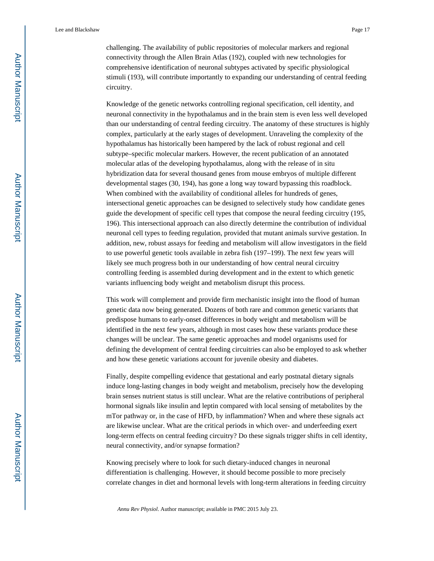challenging. The availability of public repositories of molecular markers and regional connectivity through the Allen Brain Atlas (192), coupled with new technologies for comprehensive identification of neuronal subtypes activated by specific physiological stimuli (193), will contribute importantly to expanding our understanding of central feeding circuitry.

Knowledge of the genetic networks controlling regional specification, cell identity, and neuronal connectivity in the hypothalamus and in the brain stem is even less well developed than our understanding of central feeding circuitry. The anatomy of these structures is highly complex, particularly at the early stages of development. Unraveling the complexity of the hypothalamus has historically been hampered by the lack of robust regional and cell subtype–specific molecular markers. However, the recent publication of an annotated molecular atlas of the developing hypothalamus, along with the release of in situ hybridization data for several thousand genes from mouse embryos of multiple different developmental stages (30, 194), has gone a long way toward bypassing this roadblock. When combined with the availability of conditional alleles for hundreds of genes, intersectional genetic approaches can be designed to selectively study how candidate genes guide the development of specific cell types that compose the neural feeding circuitry (195, 196). This intersectional approach can also directly determine the contribution of individual neuronal cell types to feeding regulation, provided that mutant animals survive gestation. In addition, new, robust assays for feeding and metabolism will allow investigators in the field to use powerful genetic tools available in zebra fish (197–199). The next few years will likely see much progress both in our understanding of how central neural circuitry controlling feeding is assembled during development and in the extent to which genetic variants influencing body weight and metabolism disrupt this process.

This work will complement and provide firm mechanistic insight into the flood of human genetic data now being generated. Dozens of both rare and common genetic variants that predispose humans to early-onset differences in body weight and metabolism will be identified in the next few years, although in most cases how these variants produce these changes will be unclear. The same genetic approaches and model organisms used for defining the development of central feeding circuitries can also be employed to ask whether and how these genetic variations account for juvenile obesity and diabetes.

Finally, despite compelling evidence that gestational and early postnatal dietary signals induce long-lasting changes in body weight and metabolism, precisely how the developing brain senses nutrient status is still unclear. What are the relative contributions of peripheral hormonal signals like insulin and leptin compared with local sensing of metabolites by the mTor pathway or, in the case of HFD, by inflammation? When and where these signals act are likewise unclear. What are the critical periods in which over- and underfeeding exert long-term effects on central feeding circuitry? Do these signals trigger shifts in cell identity, neural connectivity, and/or synapse formation?

Knowing precisely where to look for such dietary-induced changes in neuronal differentiation is challenging. However, it should become possible to more precisely correlate changes in diet and hormonal levels with long-term alterations in feeding circuitry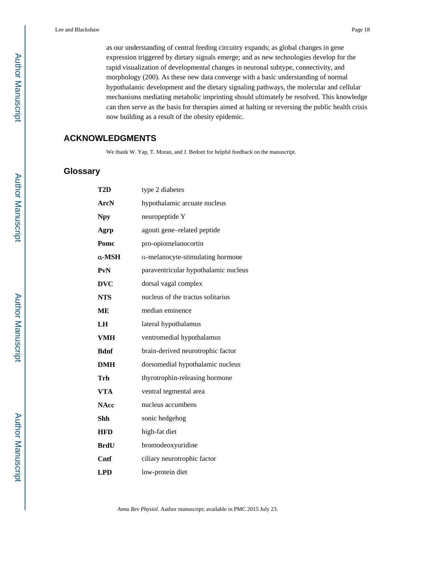as our understanding of central feeding circuitry expands; as global changes in gene expression triggered by dietary signals emerge; and as new technologies develop for the rapid visualization of developmental changes in neuronal subtype, connectivity, and morphology (200). As these new data converge with a basic understanding of normal hypothalamic development and the dietary signaling pathways, the molecular and cellular mechanisms mediating metabolic imprinting should ultimately be resolved. This knowledge can then serve as the basis for therapies aimed at halting or reversing the public health crisis now building as a result of the obesity epidemic.

## **ACKNOWLEDGMENTS**

We thank W. Yap, T. Moran, and J. Bedont for helpful feedback on the manuscript.

## **Glossary**

| T <sub>2</sub> D | type 2 diabetes                      |
|------------------|--------------------------------------|
| ArcN             | hypothalamic arcuate nucleus         |
| <b>Npy</b>       | neuropeptide Y                       |
| Agrp             | agouti gene-related peptide          |
| Pomc             | pro-opiomelanocortin                 |
| a-MSH            | a-melanocyte-stimulating hormone     |
| PvN              | paraventricular hypothalamic nucleus |
| <b>DVC</b>       | dorsal vagal complex                 |
| <b>NTS</b>       | nucleus of the tractus solitarius    |
| <b>ME</b>        | median eminence                      |
| LH               | lateral hypothalamus                 |
| <b>VMH</b>       | ventromedial hypothalamus            |
| <b>Bdnf</b>      | brain-derived neurotrophic factor    |
| <b>DMH</b>       | dorsomedial hypothalamic nucleus     |
| <b>Trh</b>       | thyrotrophin-releasing hormone       |
| <b>VTA</b>       | ventral tegmental area               |
| <b>NAcc</b>      | nucleus accumbens                    |
| <b>Shh</b>       | sonic hedgehog                       |
| <b>HFD</b>       | high-fat diet                        |
| <b>BrdU</b>      | bromodeoxyuridine                    |
| Cntf             | ciliary neurotrophic factor          |
| <b>LPD</b>       | low-protein diet                     |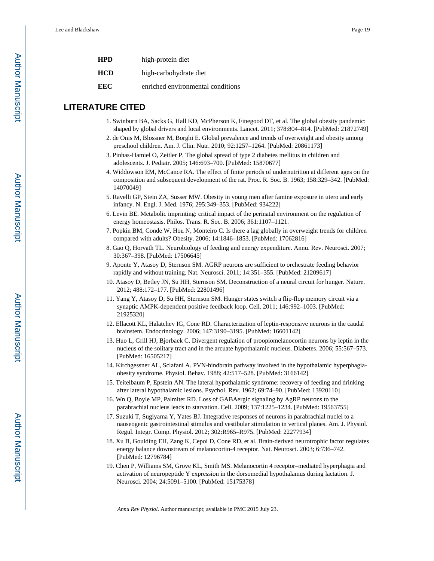| <b>HPD</b> | high-protein diet                 |
|------------|-----------------------------------|
| <b>HCD</b> | high-carbohydrate diet            |
| EEC        | enriched environmental conditions |

## **LITERATURE CITED**

- 1. Swinburn BA, Sacks G, Hall KD, McPherson K, Finegood DT, et al. The global obesity pandemic: shaped by global drivers and local environments. Lancet. 2011; 378:804–814. [PubMed: 21872749]
- 2. de Onis M, Blossner M, Borghi E. Global prevalence and trends of overweight and obesity among preschool children. Am. J. Clin. Nutr. 2010; 92:1257–1264. [PubMed: 20861173]
- 3. Pinhas-Hamiel O, Zeitler P. The global spread of type 2 diabetes mellitus in children and adolescents. J. Pediatr. 2005; 146:693–700. [PubMed: 15870677]
- 4. Widdowson EM, McCance RA. The effect of finite periods of undernutrition at different ages on the composition and subsequent development of the rat. Proc. R. Soc. B. 1963; 158:329–342. [PubMed: 14070049]
- 5. Ravelli GP, Stein ZA, Susser MW. Obesity in young men after famine exposure in utero and early infancy. N. Engl. J. Med. 1976; 295:349–353. [PubMed: 934222]
- 6. Levin BE. Metabolic imprinting: critical impact of the perinatal environment on the regulation of energy homeostasis. Philos. Trans. R. Soc. B. 2006; 361:1107–1121.
- 7. Popkin BM, Conde W, Hou N, Monteiro C. Is there a lag globally in overweight trends for children compared with adults? Obesity. 2006; 14:1846–1853. [PubMed: 17062816]
- 8. Gao Q, Horvath TL. Neurobiology of feeding and energy expenditure. Annu. Rev. Neurosci. 2007; 30:367–398. [PubMed: 17506645]
- 9. Aponte Y, Atasoy D, Sternson SM. AGRP neurons are sufficient to orchestrate feeding behavior rapidly and without training. Nat. Neurosci. 2011; 14:351–355. [PubMed: 21209617]
- 10. Atasoy D, Betley JN, Su HH, Sternson SM. Deconstruction of a neural circuit for hunger. Nature. 2012; 488:172–177. [PubMed: 22801496]
- 11. Yang Y, Atasoy D, Su HH, Sternson SM. Hunger states switch a flip-flop memory circuit via a synaptic AMPK-dependent positive feedback loop. Cell. 2011; 146:992–1003. [PubMed: 21925320]
- 12. Ellacott KL, Halatchev IG, Cone RD. Characterization of leptin-responsive neurons in the caudal brainstem. Endocrinology. 2006; 147:3190–3195. [PubMed: 16601142]
- 13. Huo L, Grill HJ, Bjorbaek C. Divergent regulation of proopiomelanocortin neurons by leptin in the nucleus of the solitary tract and in the arcuate hypothalamic nucleus. Diabetes. 2006; 55:567–573. [PubMed: 16505217]
- 14. Kirchgessner AL, Sclafani A. PVN-hindbrain pathway involved in the hypothalamic hyperphagiaobesity syndrome. Physiol. Behav. 1988; 42:517–528. [PubMed: 3166142]
- 15. Teitelbaum P, Epstein AN. The lateral hypothalamic syndrome: recovery of feeding and drinking after lateral hypothalamic lesions. Psychol. Rev. 1962; 69:74–90. [PubMed: 13920110]
- 16. Wn Q, Boyle MP, Palmiter RD. Loss of GABAergic signaling by AgRP neurons to the parabrachial nucleus leads to starvation. Cell. 2009; 137:1225–1234. [PubMed: 19563755]
- 17. Suzuki T, Sugiyama Y, Yates BJ. Integrative responses of neurons in parabrachial nuclei to a nauseogenic gastrointestinal stimulus and vestibular stimulation in vertical planes. Am. J. Physiol. Regul. Integr. Comp. Physiol. 2012; 302:R965–R975. [PubMed: 22277934]
- 18. Xu B, Goulding EH, Zang K, Cepoi D, Cone RD, et al. Brain-derived neurotrophic factor regulates energy balance downstream of melanocortin-4 receptor. Nat. Neurosci. 2003; 6:736–742. [PubMed: 12796784]
- 19. Chen P, Williams SM, Grove KL, Smith MS. Melanocortin 4 receptor–mediated hyperphagia and activation of neuropeptide Y expression in the dorsomedial hypothalamus during lactation. J. Neurosci. 2004; 24:5091–5100. [PubMed: 15175378]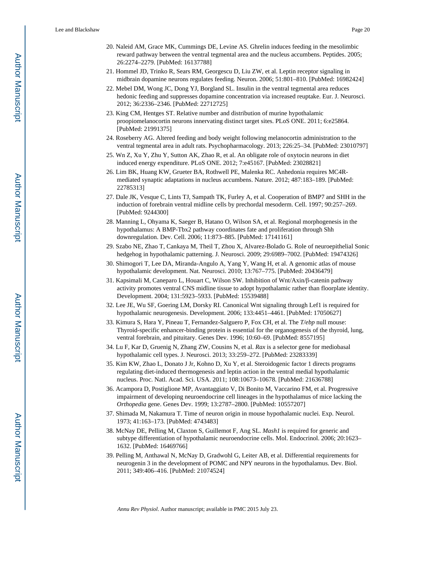- 20. Naleid AM, Grace MK, Cummings DE, Levine AS. Ghrelin induces feeding in the mesolimbic reward pathway between the ventral tegmental area and the nucleus accumbens. Peptides. 2005; 26:2274–2279. [PubMed: 16137788]
- 21. Hommel JD, Trinko R, Sears RM, Georgescu D, Liu ZW, et al. Leptin receptor signaling in midbrain dopamine neurons regulates feeding. Neuron. 2006; 51:801–810. [PubMed: 16982424]
- 22. Mebel DM, Wong JC, Dong YJ, Borgland SL. Insulin in the ventral tegmental area reduces hedonic feeding and suppresses dopamine concentration via increased reuptake. Eur. J. Neurosci. 2012; 36:2336–2346. [PubMed: 22712725]
- 23. King CM, Hentges ST. Relative number and distribution of murine hypothalamic proopiomelanocortin neurons innervating distinct target sites. PLoS ONE. 2011; 6:e25864. [PubMed: 21991375]
- 24. Roseberry AG. Altered feeding and body weight following melanocortin administration to the ventral tegmental area in adult rats. Psychopharmacology. 2013; 226:25–34. [PubMed: 23010797]
- 25. Wn Z, Xu Y, Zhu Y, Sutton AK, Zhao R, et al. An obligate role of oxytocin neurons in diet induced energy expenditure. PLoS ONE. 2012; 7:e45167. [PubMed: 23028821]
- 26. Lim BK, Huang KW, Grueter BA, Rothwell PE, Malenka RC. Anhedonia requires MC4Rmediated synaptic adaptations in nucleus accumbens. Nature. 2012; 487:183–189. [PubMed: 22785313]
- 27. Dale JK, Vesque C, Lints TJ, Sampath TK, Furley A, et al. Cooperation of BMP7 and SHH in the induction of forebrain ventral midline cells by prechordal mesoderm. Cell. 1997; 90:257–269. [PubMed: 9244300]
- 28. Manning L, Ohyama K, Saeger B, Hatano O, Wilson SA, et al. Regional morphogenesis in the hypothalamus: A BMP-Tbx2 pathway coordinates fate and proliferation through Shh downregulation. Dev. Cell. 2006; 11:873–885. [PubMed: 17141161]
- 29. Szabo NE, Zhao T, Cankaya M, Theil T, Zhou X, Alvarez-Bolado G. Role of neuroepithelial Sonic hedgehog in hypothalamic patterning. J. Neurosci. 2009; 29:6989–7002. [PubMed: 19474326]
- 30. Shimogori T, Lee DA, Miranda-Angulo A, Yang Y, Wang H, et al. A genomic atlas of mouse hypothalamic development. Nat. Neurosci. 2010; 13:767–775. [PubMed: 20436479]
- 31. Kapsimali M, Caneparo L, Houart C, Wilson SW. Inhibition of Wnt/Axin/β-catenin pathway activity promotes ventral CNS midline tissue to adopt hypothalamic rather than floorplate identity. Development. 2004; 131:5923–5933. [PubMed: 15539488]
- 32. Lee JE, Wu SF, Goering LM, Dorsky RI. Canonical Wnt signaling through Lef1 is required for hypothalamic neurogenesis. Development. 2006; 133:4451–4461. [PubMed: 17050627]
- 33. Kimura S, Hara Y, Pineau T, Fernandez-Salguero P, Fox CH, et al. The *T/ebp* null mouse: Thyroid-specific enhancer-binding protein is essential for the organogenesis of the thyroid, lung, ventral forebrain, and pituitary. Genes Dev. 1996; 10:60–69. [PubMed: 8557195]
- 34. Lu F, Kar D, Gruenig N, Zhang ZW, Cousins N, et al. *Rax* is a selector gene for mediobasal hypothalamic cell types. J. Neurosci. 2013; 33:259–272. [PubMed: 23283339]
- 35. Kim KW, Zhao L, Donato J Jr, Kohno D, Xu Y, et al. Steroidogenic factor 1 directs programs regulating diet-induced thermogenesis and leptin action in the ventral medial hypothalamic nucleus. Proc. Natl. Acad. Sci. USA. 2011; 108:10673–10678. [PubMed: 21636788]
- 36. Acampora D, Postiglione MP, Avantaggiato V, Di Bonito M, Vaccarino FM, et al. Progressive impairment of developing neuroendocrine cell lineages in the hypothalamus of mice lacking the *Orthopedia* gene. Genes Dev. 1999; 13:2787–2800. [PubMed: 10557207]
- 37. Shimada M, Nakamura T. Time of neuron origin in mouse hypothalamic nuclei. Exp. Neurol. 1973; 41:163–173. [PubMed: 4743483]
- 38. McNay DE, Pelling M, Claxton S, Guillemot F, Ang SL. *Mash1* is required for generic and subtype differentiation of hypothalamic neuroendocrine cells. Mol. Endocrinol. 2006; 20:1623– 1632. [PubMed: 16469766]
- 39. Pelling M, Anthawal N, McNay D, Gradwohl G, Leiter AB, et al. Differential requirements for neurogenin 3 in the development of POMC and NPY neurons in the hypothalamus. Dev. Biol. 2011; 349:406–416. [PubMed: 21074524]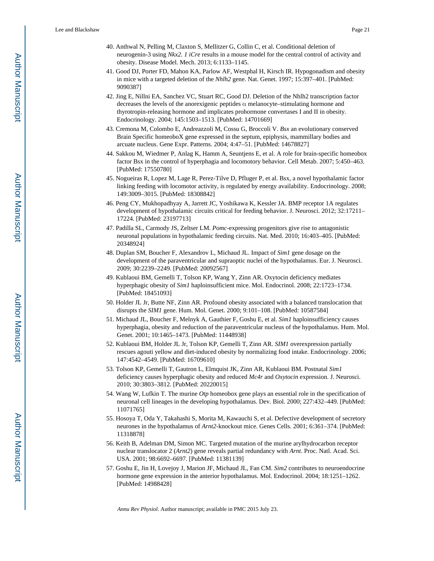- 40. Anthwal N, Pelling M, Claxton S, Mellitzer G, Collin C, et al. Conditional deletion of neurogenin-3 using *Nkx2. 1 iCre* results in a mouse model for the central control of activity and obesity. Disease Model. Mech. 2013; 6:1133–1145.
- 41. Good DJ, Porter FD, Mahon KA, Parlow AF, Westphal H, Kirsch IR. Hypogonadism and obesity in mice with a targeted deletion of the *Nhlh2* gene. Nat. Genet. 1997; 15:397–401. [PubMed: 9090387]
- 42. Jing E, Nillni EA, Sanchez VC, Stuart RC, Good DJ. Deletion of the Nhlh2 transcription factor decreases the levels of the anorexigenic peptides α melanocyte–stimulating hormone and thyrotropin-releasing hormone and implicates prohormone convertases I and II in obesity. Endocrinology. 2004; 145:1503–1513. [PubMed: 14701669]
- 43. Cremona M, Colombo E, Andreazzoli M, Cossu G, Broccoli V. *Bsx* an evolutionary conserved Brain Specific homeoboX gene expressed in the septum, epiphysis, mammillary bodies and arcuate nucleus. Gene Expr. Patterns. 2004; 4:47–51. [PubMed: 14678827]
- 44. Sakkou M, Wiedmer P, Anlag K, Hamm A, Seuntjens E, et al. A role for brain-specific homeobox factor Bsx in the control of hyperphagia and locomotory behavior. Cell Metab. 2007; 5:450–463. [PubMed: 17550780]
- 45. Nogueiras R, Lopez M, Lage R, Perez-Tilve D, Pfluger P, et al. Bsx, a novel hypothalamic factor linking feeding with locomotor activity, is regulated by energy availability. Endocrinology. 2008; 149:3009–3015. [PubMed: 18308842]
- 46. Peng CY, Mukhopadhyay A, Jarrett JC, Yoshikawa K, Kessler JA. BMP receptor 1A regulates development of hypothalamic circuits critical for feeding behavior. J. Neurosci. 2012; 32:17211– 17224. [PubMed: 23197713]
- 47. Padilla SL, Carmody JS, Zeltser LM. *Pomc*-expressing progenitors give rise to antagonistic neuronal populations in hypothalamic feeding circuits. Nat. Med. 2010; 16:403–405. [PubMed: 20348924]
- 48. Duplan SM, Boucher F, Alexandrov L, Michaud JL. Impact of *Sim1* gene dosage on the development of the paraventricular and supraoptic nuclei of the hypothalamus. Eur. J. Neurosci. 2009; 30:2239–2249. [PubMed: 20092567]
- 49. Kublaoui BM, Gemelli T, Tolson KP, Wang Y, Zinn AR. Oxytocin deficiency mediates hyperphagic obesity of *Sim1* haploinsufficient mice. Mol. Endocrinol. 2008; 22:1723–1734. [PubMed: 18451093]
- 50. Holder JL Jr, Butte NF, Zinn AR. Profound obesity associated with a balanced translocation that disrupts the *SIM1* gene. Hum. Mol. Genet. 2000; 9:101–108. [PubMed: 10587584]
- 51. Michaud JL, Boucher F, Melnyk A, Gauthier F, Goshu E, et al. *Sim1* haploinsufficiency causes hyperphagia, obesity and reduction of the paraventricular nucleus of the hypothalamus. Hum. Mol. Genet. 2001; 10:1465–1473. [PubMed: 11448938]
- 52. Kublaoui BM, Holder JL Jr, Tolson KP, Gemelli T, Zinn AR. *SIM1* overexpression partially rescues agouti yellow and diet-induced obesity by normalizing food intake. Endocrinology. 2006; 147:4542–4549. [PubMed: 16709610]
- 53. Tolson KP, Gemelli T, Gautron L, Elmquist JK, Zinn AR, Kublaoui BM. Postnatal *Sim1*  deficiency causes hyperphagic obesity and reduced *Mc4r* and *Oxytocin* expression. J. Neurosci. 2010; 30:3803–3812. [PubMed: 20220015]
- 54. Wang W, Lufkin T. The murine *Otp* homeobox gene plays an essential role in the specification of neuronal cell lineages in the developing hypothalamus. Dev. Biol. 2000; 227:432–449. [PubMed: 11071765]
- 55. Hosoya T, Oda Y, Takahashi S, Morita M, Kawauchi S, et al. Defective development of secretory neurones in the hypothalamus of *Arnt2*-knockout mice. Genes Cells. 2001; 6:361–374. [PubMed: 11318878]
- 56. Keith B, Adelman DM, Simon MC. Targeted mutation of the murine arylhydrocarbon receptor nuclear translocator 2 (*Arnt2*) gene reveals partial redundancy with *Arnt*. Proc. Natl. Acad. Sci. USA. 2001; 98:6692–6697. [PubMed: 11381139]
- 57. Goshu E, Jin H, Lovejoy J, Marion JF, Michaud JL, Fan CM. *Sim2* contributes to neuroendocrine hormone gene expression in the anterior hypothalamus. Mol. Endocrinol. 2004; 18:1251–1262. [PubMed: 14988428]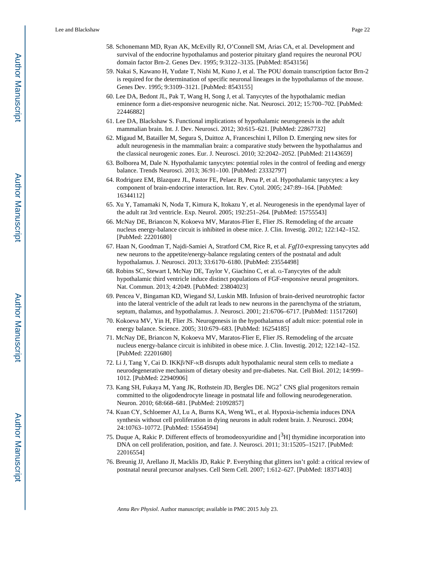- 58. Schonemann MD, Ryan AK, McEvilly RJ, O'Connell SM, Arias CA, et al. Development and survival of the endocrine hypothalamus and posterior pituitary gland requires the neuronal POU domain factor Brn-2. Genes Dev. 1995; 9:3122–3135. [PubMed: 8543156]
- 59. Nakai S, Kawano H, Yudate T, Nishi M, Kuno J, et al. The POU domain transcription factor Brn-2 is required for the determination of specific neuronal lineages in the hypothalamus of the mouse. Genes Dev. 1995; 9:3109–3121. [PubMed: 8543155]
- 60. Lee DA, Bedont JL, Pak T, Wang H, Song J, et al. Tanycytes of the hypothalamic median eminence form a diet-responsive neurogenic niche. Nat. Neurosci. 2012; 15:700–702. [PubMed: 22446882]
- 61. Lee DA, Blackshaw S. Functional implications of hypothalamic neurogenesis in the adult mammalian brain. Int. J. Dev. Neurosci. 2012; 30:615–621. [PubMed: 22867732]
- 62. Migaud M, Batailler M, Segura S, Duittoz A, Franceschini I, Pillon D. Emerging new sites for adult neurogenesis in the mammalian brain: a comparative study between the hypothalamus and the classical neurogenic zones. Eur. J. Neurosci. 2010; 32:2042–2052. [PubMed: 21143659]
- 63. Bolborea M, Dale N. Hypothalamic tanycytes: potential roles in the control of feeding and energy balance. Trends Neurosci. 2013; 36:91–100. [PubMed: 23332797]
- 64. Rodriguez EM, Blazquez JL, Pastor FE, Pelaez B, Pena P, et al. Hypothalamic tanycytes: a key component of brain-endocrine interaction. Int. Rev. Cytol. 2005; 247:89–164. [PubMed: 16344112]
- 65. Xu Y, Tamamaki N, Noda T, Kimura K, Itokazu Y, et al. Neurogenesis in the ependymal layer of the adult rat 3rd ventricle. Exp. Neurol. 2005; 192:251–264. [PubMed: 15755543]
- 66. McNay DE, Briancon N, Kokoeva MV, Maratos-Flier E, Flier JS. Remodeling of the arcuate nucleus energy-balance circuit is inhibited in obese mice. J. Clin. Investig. 2012; 122:142–152. [PubMed: 22201680]
- 67. Haan N, Goodman T, Najdi-Samiei A, Stratford CM, Rice R, et al. *Fgf10*-expressing tanycytes add new neurons to the appetite/energy-balance regulating centers of the postnatal and adult hypothalamus. J. Neurosci. 2013; 33:6170–6180. [PubMed: 23554498]
- 68. Robins SC, Stewart I, McNay DE, Taylor V, Giachino C, et al. α-Tanycytes of the adult hypothalamic third ventricle induce distinct populations of FGF-responsive neural progenitors. Nat. Commun. 2013; 4:2049. [PubMed: 23804023]
- 69. Pencea V, Bingaman KD, Wiegand SJ, Luskin MB. Infusion of brain-derived neurotrophic factor into the lateral ventricle of the adult rat leads to new neurons in the parenchyma of the striatum, septum, thalamus, and hypothalamus. J. Neurosci. 2001; 21:6706–6717. [PubMed: 11517260]
- 70. Kokoeva MV, Yin H, Flier JS. Neurogenesis in the hypothalamus of adult mice: potential role in energy balance. Science. 2005; 310:679–683. [PubMed: 16254185]
- 71. McNay DE, Briancon N, Kokoeva MV, Maratos-Flier E, Flier JS. Remodeling of the arcuate nucleus energy-balance circuit is inhibited in obese mice. J. Clin. Investig. 2012; 122:142–152. [PubMed: 22201680]
- 72. Li J, Tang Y, Cai D. IKKβ/NF-κB disrupts adult hypothalamic neural stem cells to mediate a neurodegenerative mechanism of dietary obesity and pre-diabetes. Nat. Cell Biol. 2012; 14:999– 1012. [PubMed: 22940906]
- 73. Kang SH, Fukaya M, Yang JK, Rothstein JD, Bergles DE. NG2+ CNS glial progenitors remain committed to the oligodendrocyte lineage in postnatal life and following neurodegeneration. Neuron. 2010; 68:668–681. [PubMed: 21092857]
- 74. Kuan CY, Schloemer AJ, Lu A, Burns KA, Weng WL, et al. Hypoxia-ischemia induces DNA synthesis without cell proliferation in dying neurons in adult rodent brain. J. Neurosci. 2004; 24:10763–10772. [PubMed: 15564594]
- 75. Duque A, Rakic P. Different effects of bromodeoxyuridine and  $\binom{3}{1}$  thymidine incorporation into DNA on cell proliferation, position, and fate. J. Neurosci. 2011; 31:15205–15217. [PubMed: 22016554]
- 76. Breunig JJ, Arellano JI, Macklis JD, Rakic P. Everything that glitters isn't gold: a critical review of postnatal neural precursor analyses. Cell Stem Cell. 2007; 1:612–627. [PubMed: 18371403]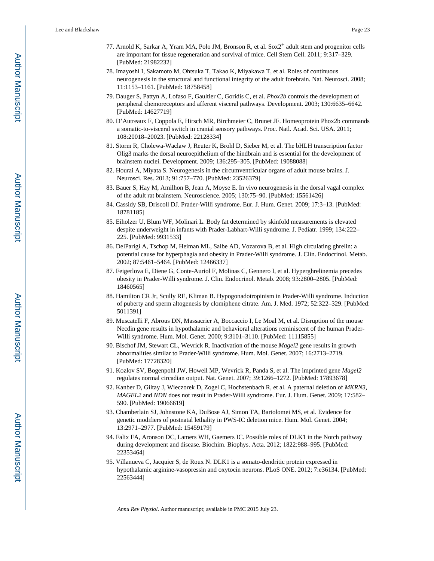- 77. Arnold K, Sarkar A, Yram MA, Polo JM, Bronson R, et al.  $Sox2^+$  adult stem and progenitor cells are important for tissue regeneration and survival of mice. Cell Stem Cell. 2011; 9:317–329. [PubMed: 21982232]
- 78. Imayoshi I, Sakamoto M, Ohtsuka T, Takao K, Miyakawa T, et al. Roles of continuous neurogenesis in the structural and functional integrity of the adult forebrain. Nat. Neurosci. 2008; 11:1153–1161. [PubMed: 18758458]
- 79. Dauger S, Pattyn A, Lofaso F, Gaultier C, Goridis C, et al. *Phox2b* controls the development of peripheral chemoreceptors and afferent visceral pathways. Development. 2003; 130:6635–6642. [PubMed: 14627719]
- 80. D'Autreaux F, Coppola E, Hirsch MR, Birchmeier C, Brunet JF. Homeoprotein Phox2b commands a somatic-to-visceral switch in cranial sensory pathways. Proc. Natl. Acad. Sci. USA. 2011; 108:20018–20023. [PubMed: 22128334]
- 81. Storm R, Cholewa-Waclaw J, Reuter K, Brohl D, Sieber M, et al. The bHLH transcription factor Olig3 marks the dorsal neuroepithelium of the hindbrain and is essential for the development of brainstem nuclei. Development. 2009; 136:295–305. [PubMed: 19088088]
- 82. Hourai A, Miyata S. Neurogenesis in the circumventricular organs of adult mouse brains. J. Neurosci. Res. 2013; 91:757–770. [PubMed: 23526379]
- 83. Bauer S, Hay M, Amilhon B, Jean A, Moyse E. In vivo neurogenesis in the dorsal vagal complex of the adult rat brainstem. Neuroscience. 2005; 130:75–90. [PubMed: 15561426]
- 84. Cassidy SB, Driscoll DJ. Prader-Willi syndrome. Eur. J. Hum. Genet. 2009; 17:3–13. [PubMed: 18781185]
- 85. Eiholzer U, Blum WF, Molinari L. Body fat determined by skinfold measurements is elevated despite underweight in infants with Prader-Labhart-Willi syndrome. J. Pediatr. 1999; 134:222– 225. [PubMed: 9931533]
- 86. DelParigi A, Tschop M, Heiman ML, Salbe AD, Vozarova B, et al. High circulating ghrelin: a potential cause for hyperphagia and obesity in Prader-Willi syndrome. J. Clin. Endocrinol. Metab. 2002; 87:5461–5464. [PubMed: 12466337]
- 87. Feigerlova E, Diene G, Conte-Auriol F, Molinas C, Gennero I, et al. Hyperghrelinemia precedes obesity in Prader-Willi syndrome. J. Clin. Endocrinol. Metab. 2008; 93:2800–2805. [PubMed: 18460565]
- 88. Hamilton CR Jr, Scully RE, Kliman B. Hypogonadotropinism in Prader-Willi syndrome. Induction of puberty and sperm altogenesis by clomiphene citrate. Am. J. Med. 1972; 52:322–329. [PubMed: 5011391]
- 89. Muscatelli F, Abrous DN, Massacrier A, Boccaccio I, Le Moal M, et al. Disruption of the mouse Necdin gene results in hypothalamic and behavioral alterations reminiscent of the human Prader-Willi syndrome. Hum. Mol. Genet. 2000; 9:3101–3110. [PubMed: 11115855]
- 90. Bischof JM, Stewart CL, Wevrick R. Inactivation of the mouse *Magel2* gene results in growth abnormalities similar to Prader-Willi syndrome. Hum. Mol. Genet. 2007; 16:2713–2719. [PubMed: 17728320]
- 91. Kozlov SV, Bogenpohl JW, Howell MP, Wevrick R, Panda S, et al. The imprinted gene *Magel2*  regulates normal circadian output. Nat. Genet. 2007; 39:1266–1272. [PubMed: 17893678]
- 92. Kanber D, Giltay J, Wieczorek D, Zogel C, Hochstenbach R, et al. A paternal deletion of *MKRN3, MAGEL2* and *NDN* does not result in Prader-Willi syndrome. Eur. J. Hum. Genet. 2009; 17:582– 590. [PubMed: 19066619]
- 93. Chamberlain SJ, Johnstone KA, DuBose AJ, Simon TA, Bartolomei MS, et al. Evidence for genetic modifiers of postnatal lethality in PWS-IC deletion mice. Hum. Mol. Genet. 2004; 13:2971–2977. [PubMed: 15459179]
- 94. Falix FA, Aronson DC, Lamers WH, Gaemers IC. Possible roles of DLK1 in the Notch pathway during development and disease. Biochim. Biophys. Acta. 2012; 1822:988–995. [PubMed: 22353464]
- 95. Villanueva C, Jacquier S, de Roux N. DLK1 is a somato-dendritic protein expressed in hypothalamic arginine-vasopressin and oxytocin neurons. PLoS ONE. 2012; 7:e36134. [PubMed: 22563444]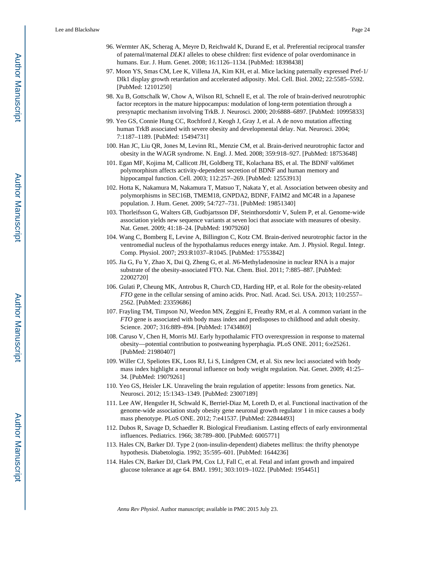- 96. Wermter AK, Scherag A, Meyre D, Reichwald K, Durand E, et al. Preferential reciprocal transfer of paternal/maternal *DLK1* alleles to obese children: first evidence of polar overdominance in humans. Eur. J. Hum. Genet. 2008; 16:1126–1134. [PubMed: 18398438]
- 97. Moon YS, Smas CM, Lee K, Villena JA, Kim KH, et al. Mice lacking paternally expressed Pref-1/ Dlk1 display growth retardation and accelerated adiposity. Mol. Cell. Biol. 2002; 22:5585–5592. [PubMed: 12101250]
- 98. Xu B, Gottschalk W, Chow A, Wilson RI, Schnell E, et al. The role of brain-derived neurotrophic factor receptors in the mature hippocampus: modulation of long-term potentiation through a presynaptic mechanism involving TrkB. J. Neurosci. 2000; 20:6888–6897. [PubMed: 10995833]
- 99. Yeo GS, Connie Hung CC, Rochford J, Keogh J, Gray J, et al. A de novo mutation affecting human TrkB associated with severe obesity and developmental delay. Nat. Neurosci. 2004; 7:1187–1189. [PubMed: 15494731]
- 100. Han JC, Liu QR, Jones M, Levinn RL, Menzie CM, et al. Brain-derived neurotrophic factor and obesity in the WAGR syndrome. N. Engl. J. Med. 2008; 359:918–927. [PubMed: 18753648]
- 101. Egan MF, Kojima M, Callicott JH, Goldberg TE, Kolachana BS, et al. The BDNF val66met polymorphism affects activity-dependent secretion of BDNF and human memory and hippocampal function. Cell. 2003; 112:257–269. [PubMed: 12553913]
- 102. Hotta K, Nakamura M, Nakamura T, Matsuo T, Nakata Y, et al. Association between obesity and polymorphisms in SEC16B, TMEM18, GNPDA2, BDNF, FAIM2 and MC4R in a Japanese population. J. Hum. Genet. 2009; 54:727–731. [PubMed: 19851340]
- 103. Thorleifsson G, Walters GB, Gudbjartsson DF, Steinthorsdottir V, Sulem P, et al. Genome-wide association yields new sequence variants at seven loci that associate with measures of obesity. Nat. Genet. 2009; 41:18–24. [PubMed: 19079260]
- 104. Wang C, Bomberg E, Levine A, Billington C, Kotz CM. Brain-derived neurotrophic factor in the ventromedial nucleus of the hypothalamus reduces energy intake. Am. J. Physiol. Regul. Integr. Comp. Physiol. 2007; 293:R1037–R1045. [PubMed: 17553842]
- 105. Jia G, Fu Y, Zhao X, Dai Q, Zheng G, et al. *N*6-Methyladenosine in nuclear RNA is a major substrate of the obesity-associated FTO. Nat. Chem. Biol. 2011; 7:885–887. [PubMed: 22002720]
- 106. Gulati P, Cheung MK, Antrobus R, Church CD, Harding HP, et al. Role for the obesity-related *FTO* gene in the cellular sensing of amino acids. Proc. Natl. Acad. Sci. USA. 2013; 110:2557– 2562. [PubMed: 23359686]
- 107. Frayling TM, Timpson NJ, Weedon MN, Zeggini E, Freathy RM, et al. A common variant in the *FTO* gene is associated with body mass index and predisposes to childhood and adult obesity. Science. 2007; 316:889–894. [PubMed: 17434869]
- 108. Caruso V, Chen H, Morris MJ. Early hypothalamic FTO overexpression in response to maternal obesity—potential contribution to postweaning hyperphagia. PLoS ONE. 2011; 6:e25261. [PubMed: 21980407]
- 109. Willer CJ, Speliotes EK, Loos RJ, Li S, Lindgren CM, et al. Six new loci associated with body mass index highlight a neuronal influence on body weight regulation. Nat. Genet. 2009; 41:25– 34. [PubMed: 19079261]
- 110. Yeo GS, Heisler LK. Unraveling the brain regulation of appetite: lessons from genetics. Nat. Neurosci. 2012; 15:1343–1349. [PubMed: 23007189]
- 111. Lee AW, Hengstler H, Schwald K, Berriel-Diaz M, Loreth D, et al. Functional inactivation of the genome-wide association study obesity gene neuronal growth regulator 1 in mice causes a body mass phenotype. PLoS ONE. 2012; 7:e41537. [PubMed: 22844493]
- 112. Dubos R, Savage D, Schaedler R. Biological Freudianism. Lasting effects of early environmental influences. Pediatrics. 1966; 38:789–800. [PubMed: 6005771]
- 113. Hales CN, Barker DJ. Type 2 (non-insulin-dependent) diabetes mellitus: the thrifty phenotype hypothesis. Diabetologia. 1992; 35:595–601. [PubMed: 1644236]
- 114. Hales CN, Barker DJ, Clark PM, Cox LJ, Fall C, et al. Fetal and infant growth and impaired glucose tolerance at age 64. BMJ. 1991; 303:1019–1022. [PubMed: 1954451]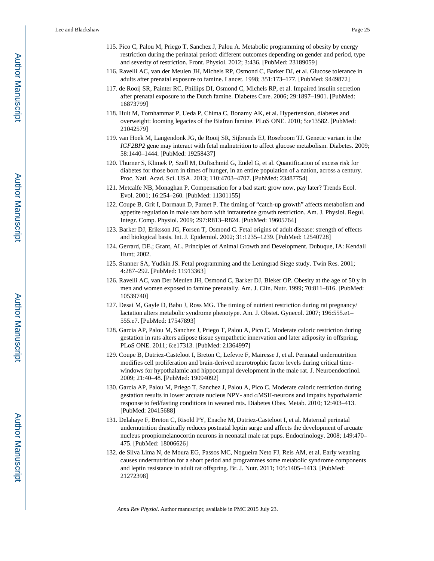- 115. Pico C, Palou M, Priego T, Sanchez J, Palou A. Metabolic programming of obesity by energy restriction during the perinatal period: different outcomes depending on gender and period, type and severity of restriction. Front. Physiol. 2012; 3:436. [PubMed: 23189059]
- 116. Ravelli AC, van der Meulen JH, Michels RP, Osmond C, Barker DJ, et al. Glucose tolerance in adults after prenatal exposure to famine. Lancet. 1998; 351:173–177. [PubMed: 9449872]
- 117. de Rooij SR, Painter RC, Phillips DI, Osmond C, Michels RP, et al. Impaired insulin secretion after prenatal exposure to the Dutch famine. Diabetes Care. 2006; 29:1897–1901. [PubMed: 16873799]
- 118. Hult M, Tornhammar P, Ueda P, Chima C, Bonamy AK, et al. Hypertension, diabetes and overweight: looming legacies of the Biafran famine. PLoS ONE. 2010; 5:e13582. [PubMed: 21042579]
- 119. van Hoek M, Langendonk JG, de Rooij SR, Sijbrands EJ, Roseboom TJ. Genetic variant in the *IGF2BP2* gene may interact with fetal malnutrition to affect glucose metabolism. Diabetes. 2009; 58:1440–1444. [PubMed: 19258437]
- 120. Thurner S, Klimek P, Szell M, Duftschmid G, Endel G, et al. Quantification of excess risk for diabetes for those born in times of hunger, in an entire population of a nation, across a century. Proc. Natl. Acad. Sci. USA. 2013; 110:4703–4707. [PubMed: 23487754]
- 121. Metcalfe NB, Monaghan P. Compensation for a bad start: grow now, pay later? Trends Ecol. Evol. 2001; 16:254–260. [PubMed: 11301155]
- 122. Coupe B, Grit I, Darmaun D, Parnet P. The timing of "catch-up growth" affects metabolism and appetite regulation in male rats born with intrauterine growth restriction. Am. J. Physiol. Regul. Integr. Comp. Physiol. 2009; 297:R813–R824. [PubMed: 19605764]
- 123. Barker DJ, Eriksson JG, Forsen T, Osmond C. Fetal origins of adult disease: strength of effects and biological basis. Int. J. Epidemiol. 2002; 31:1235–1239. [PubMed: 12540728]
- 124. Gerrard, DE.; Grant, AL. Principles of Animal Growth and Development. Dubuque, IA: Kendall Hunt; 2002.
- 125. Stanner SA, Yudkin JS. Fetal programming and the Leningrad Siege study. Twin Res. 2001; 4:287–292. [PubMed: 11913363]
- 126. Ravelli AC, van Der Meulen JH, Osmond C, Barker DJ, Bleker OP. Obesity at the age of 50 y in men and women exposed to famine prenatally. Am. J. Clin. Nutr. 1999; 70:811–816. [PubMed: 10539740]
- 127. Desai M, Gayle D, Babu J, Ross MG. The timing of nutrient restriction during rat pregnancy/ lactation alters metabolic syndrome phenotype. Am. J. Obstet. Gynecol. 2007; 196:555.e1– 555.e7. [PubMed: 17547893]
- 128. Garcia AP, Palou M, Sanchez J, Priego T, Palou A, Pico C. Moderate caloric restriction during gestation in rats alters adipose tissue sympathetic innervation and later adiposity in offspring. PLoS ONE. 2011; 6:e17313. [PubMed: 21364997]
- 129. Coupe B, Dutriez-Casteloot I, Breton C, Lefevre F, Mairesse J, et al. Perinatal undernutrition modifies cell proliferation and brain-derived neurotrophic factor levels during critical timewindows for hypothalamic and hippocampal development in the male rat. J. Neuroendocrinol. 2009; 21:40–48. [PubMed: 19094092]
- 130. Garcia AP, Palou M, Priego T, Sanchez J, Palou A, Pico C. Moderate caloric restriction during gestation results in lower arcuate nucleus NPY- and αMSH-neurons and impairs hypothalamic response to fed/fasting conditions in weaned rats. Diabetes Obes. Metab. 2010; 12:403–413. [PubMed: 20415688]
- 131. Delahaye F, Breton C, Risold PY, Enache M, Dutriez-Casteloot I, et al. Maternal perinatal undernutrition drastically reduces postnatal leptin surge and affects the development of arcuate nucleus proopiomelanocortin neurons in neonatal male rat pups. Endocrinology. 2008; 149:470– 475. [PubMed: 18006626]
- 132. de Silva Lima N, de Moura EG, Passos MC, Nogueira Neto FJ, Reis AM, et al. Early weaning causes undernutrition for a short period and programmes some metabolic syndrome components and leptin resistance in adult rat offspring. Br. J. Nutr. 2011; 105:1405–1413. [PubMed: 21272398]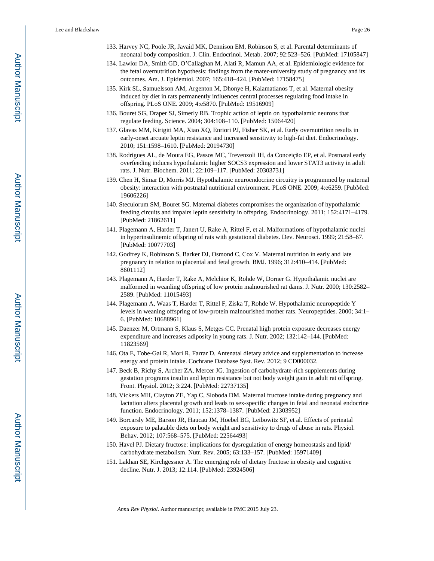- 133. Harvey NC, Poole JR, Javaid MK, Dennison EM, Robinson S, et al. Parental determinants of neonatal body composition. J. Clin. Endocrinol. Metab. 2007; 92:523–526. [PubMed: 17105847]
- 134. Lawlor DA, Smith GD, O'Callaghan M, Alati R, Mamun AA, et al. Epidemiologic evidence for the fetal overnutrition hypothesis: findings from the mater-university study of pregnancy and its outcomes. Am. J. Epidemiol. 2007; 165:418–424. [PubMed: 17158475]
- 135. Kirk SL, Samuelsson AM, Argenton M, Dhonye H, Kalamatianos T, et al. Maternal obesity induced by diet in rats permanently influences central processes regulating food intake in offspring. PLoS ONE. 2009; 4:e5870. [PubMed: 19516909]
- 136. Bouret SG, Draper SJ, Simerly RB. Trophic action of leptin on hypothalamic neurons that regulate feeding. Science. 2004; 304:108–110. [PubMed: 15064420]
- 137. Glavas MM, Kirigiti MA, Xiao XQ, Enriori PJ, Fisher SK, et al. Early overnutrition results in early-onset arcuate leptin resistance and increased sensitivity to high-fat diet. Endocrinology. 2010; 151:1598–1610. [PubMed: 20194730]
- 138. Rodrigues AL, de Moura EG, Passos MC, Trevenzoli IH, da Conceição EP, et al. Postnatal early overfeeding induces hypothalamic higher SOCS3 expression and lower STAT3 activity in adult rats. J. Nutr. Biochem. 2011; 22:109–117. [PubMed: 20303731]
- 139. Chen H, Simar D, Morris MJ. Hypothalamic neuroendocrine circuitry is programmed by maternal obesity: interaction with postnatal nutritional environment. PLoS ONE. 2009; 4:e6259. [PubMed: 19606226]
- 140. Steculorum SM, Bouret SG. Maternal diabetes compromises the organization of hypothalamic feeding circuits and impairs leptin sensitivity in offspring. Endocrinology. 2011; 152:4171–4179. [PubMed: 21862611]
- 141. Plagemann A, Harder T, Janert U, Rake A, Rittel F, et al. Malformations of hypothalamic nuclei in hyperinsulinemic offspring of rats with gestational diabetes. Dev. Neurosci. 1999; 21:58–67. [PubMed: 10077703]
- 142. Godfrey K, Robinson S, Barker DJ, Osmond C, Cox V. Maternal nutrition in early and late pregnancy in relation to placental and fetal growth. BMJ. 1996; 312:410–414. [PubMed: 8601112]
- 143. Plagemann A, Harder T, Rake A, Melchior K, Rohde W, Dorner G. Hypothalamic nuclei are malformed in weanling offspring of low protein malnourished rat dams. J. Nutr. 2000; 130:2582– 2589. [PubMed: 11015493]
- 144. Plagemann A, Waas T, Harder T, Rittel F, Ziska T, Rohde W. Hypothalamic neuropeptide Y levels in weaning offspring of low-protein malnourished mother rats. Neuropeptides. 2000; 34:1– 6. [PubMed: 10688961]
- 145. Daenzer M, Ortmann S, Klaus S, Metges CC. Prenatal high protein exposure decreases energy expenditure and increases adiposity in young rats. J. Nutr. 2002; 132:142–144. [PubMed: 11823569]
- 146. Ota E, Tobe-Gai R, Mori R, Farrar D. Antenatal dietary advice and supplementation to increase energy and protein intake. Cochrane Database Syst. Rev. 2012; 9 CD000032.
- 147. Beck B, Richy S, Archer ZA, Mercer JG. Ingestion of carbohydrate-rich supplements during gestation programs insulin and leptin resistance but not body weight gain in adult rat offspring. Front. Physiol. 2012; 3:224. [PubMed: 22737135]
- 148. Vickers MH, Clayton ZE, Yap C, Sloboda DM. Maternal fructose intake during pregnancy and lactation alters placental growth and leads to sex-specific changes in fetal and neonatal endocrine function. Endocrinology. 2011; 152:1378–1387. [PubMed: 21303952]
- 149. Borcarsly ME, Barson JR, Haucau JM, Hoebel BG, Leibowitz SF, et al. Effects of perinatal exposure to palatable diets on body weight and sensitivity to drugs of abuse in rats. Physiol. Behav. 2012; 107:568–575. [PubMed: 22564493]
- 150. Havel PJ. Dietary fructose: implications for dysregulation of energy homeostasis and lipid/ carbohydrate metabolism. Nutr. Rev. 2005; 63:133–157. [PubMed: 15971409]
- 151. Lakhan SE, Kirchgessner A. The emerging role of dietary fructose in obesity and cognitive decline. Nutr. J. 2013; 12:114. [PubMed: 23924506]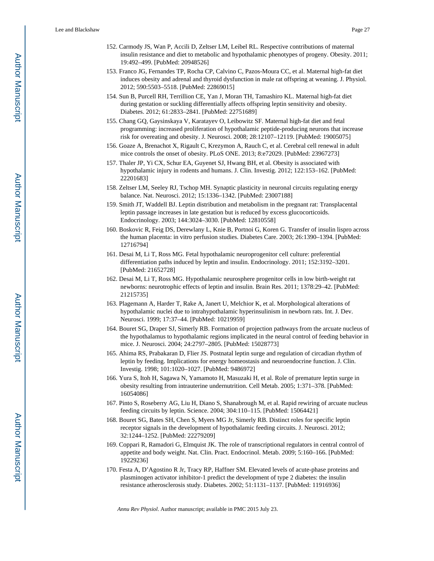- 152. Carmody JS, Wan P, Accili D, Zeltser LM, Leibel RL. Respective contributions of maternal insulin resistance and diet to metabolic and hypothalamic phenotypes of progeny. Obesity. 2011; 19:492–499. [PubMed: 20948526]
- 153. Franco JG, Fernandes TP, Rocha CP, Calvino C, Pazos-Moura CC, et al. Maternal high-fat diet induces obesity and adrenal and thyroid dysfunction in male rat offspring at weaning. J. Physiol. 2012; 590:5503–5518. [PubMed: 22869015]
- 154. Sun B, Purcell RH, Terrillion CE, Yan J, Moran TH, Tamashiro KL. Maternal high-fat diet during gestation or suckling differentially affects offspring leptin sensitivity and obesity. Diabetes. 2012; 61:2833–2841. [PubMed: 22751689]
- 155. Chang GQ, Gaysinskaya V, Karatayev O, Leibowitz SF. Maternal high-fat diet and fetal programming: increased proliferation of hypothalamic peptide-producing neurons that increase risk for overeating and obesity. J. Neurosci. 2008; 28:12107–12119. [PubMed: 19005075]
- 156. Goaze A, Brenachot X, Rigault C, Krezymon A, Rauch C, et al. Cerebral cell renewal in adult mice controls the onset of obesity. PLoS ONE. 2013; 8:e72029. [PubMed: 23967273]
- 157. Thaler JP, Yi CX, Schur EA, Guyenet SJ, Hwang BH, et al. Obesity is associated with hypothalamic injury in rodents and humans. J. Clin. Investig. 2012; 122:153–162. [PubMed: 22201683]
- 158. Zeltser LM, Seeley RJ, Tschop MH. Synaptic plasticity in neuronal circuits regulating energy balance. Nat. Neurosci. 2012; 15:1336–1342. [PubMed: 23007188]
- 159. Smith JT, Waddell BJ. Leptin distribution and metabolism in the pregnant rat: Transplacental leptin passage increases in late gestation but is reduced by excess glucocorticoids. Endocrinology. 2003; 144:3024–3030. [PubMed: 12810558]
- 160. Boskovic R, Feig DS, Derewlany L, Knie B, Portnoi G, Koren G. Transfer of insulin lispro across the human placenta: in vitro perfusion studies. Diabetes Care. 2003; 26:1390–1394. [PubMed: 12716794]
- 161. Desai M, Li T, Ross MG. Fetal hypothalamic neuroprogenitor cell culture: preferential differentiation paths induced by leptin and insulin. Endocrinology. 2011; 152:3192–3201. [PubMed: 21652728]
- 162. Desai M, Li T, Ross MG. Hypothalamic neurosphere progenitor cells in low birth-weight rat newborns: neurotrophic effects of leptin and insulin. Brain Res. 2011; 1378:29–42. [PubMed: 21215735]
- 163. Plagemann A, Harder T, Rake A, Janert U, Melchior K, et al. Morphological alterations of hypothalamic nuclei due to intrahypothalamic hyperinsulinism in newborn rats. Int. J. Dev. Neurosci. 1999; 17:37–44. [PubMed: 10219959]
- 164. Bouret SG, Draper SJ, Simerly RB. Formation of projection pathways from the arcuate nucleus of the hypothalamus to hypothalamic regions implicated in the neural control of feeding behavior in mice. J. Neurosci. 2004; 24:2797–2805. [PubMed: 15028773]
- 165. Ahima RS, Prabakaran D, Flier JS. Postnatal leptin surge and regulation of circadian rhythm of leptin by feeding. Implications for energy homeostasis and neuroendocrine function. J. Clin. Investig. 1998; 101:1020–1027. [PubMed: 9486972]
- 166. Yura S, Itoh H, Sagawa N, Yamamoto H, Masuzaki H, et al. Role of premature leptin surge in obesity resulting from intrauterine undernutrition. Cell Metab. 2005; 1:371–378. [PubMed: 16054086]
- 167. Pinto S, Roseberry AG, Liu H, Diano S, Shanabrough M, et al. Rapid rewiring of arcuate nucleus feeding circuits by leptin. Science. 2004; 304:110–115. [PubMed: 15064421]
- 168. Bouret SG, Bates SH, Chen S, Myers MG Jr, Simerly RB. Distinct roles for specific leptin receptor signals in the development of hypothalamic feeding circuits. J. Neurosci. 2012; 32:1244–1252. [PubMed: 22279209]
- 169. Coppari R, Ramadori G, Elmquist JK. The role of transcriptional regulators in central control of appetite and body weight. Nat. Clin. Pract. Endocrinol. Metab. 2009; 5:160–166. [PubMed: 19229236]
- 170. Festa A, D'Agostino R Jr, Tracy RP, Haffner SM. Elevated levels of acute-phase proteins and plasminogen activator inhibitor-1 predict the development of type 2 diabetes: the insulin resistance atherosclerosis study. Diabetes. 2002; 51:1131–1137. [PubMed: 11916936]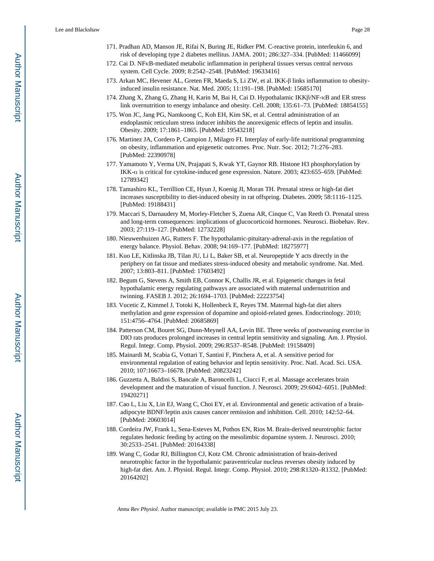- 171. Pradhan AD, Manson JE, Rifai N, Buring JE, Ridker PM. C-reactive protein, interleukin 6, and risk of developing type 2 diabetes mellitus. JAMA. 2001; 286:327–334. [PubMed: 11466099]
- 172. Cai D. NFκB-mediated metabolic inflammation in peripheral tissues versus central nervous system. Cell Cycle. 2009; 8:2542–2548. [PubMed: 19633416]
- 173. Arkan MC, Hevener AL, Greten FR, Maeda S, Li ZW, et al. IKK-β links inflammation to obesityinduced insulin resistance. Nat. Med. 2005; 11:191–198. [PubMed: 15685170]
- 174. Zhang X, Zhang G, Zhang H, Karin M, Bai H, Cai D. Hypothalamic IKKβ/NF-κB and ER stress link overnutrition to energy imbalance and obesity. Cell. 2008; 135:61–73. [PubMed: 18854155]
- 175. Won JC, Jang PG, Namkoong C, Koh EH, Kim SK, et al. Central administration of an endoplasmic reticulum stress inducer inhibits the anorexigenic effects of leptin and insulin. Obesity. 2009; 17:1861–1865. [PubMed: 19543218]
- 176. Martinez JA, Cordero P, Campion J, Milagro FI. Interplay of early-life nutritional programming on obesity, inflammation and epigenetic outcomes. Proc. Nutr. Soc. 2012; 71:276–283. [PubMed: 22390978]
- 177. Yamamoto Y, Verma UN, Prajapati S, Kwak YT, Gaynor RB. Histone H3 phosphorylation by IKK-α is critical for cytokine-induced gene expression. Nature. 2003; 423:655–659. [PubMed: 12789342]
- 178. Tamashiro KL, Terrillion CE, Hyun J, Koenig JI, Moran TH. Prenatal stress or high-fat diet increases susceptibility to diet-induced obesity in rat offspring. Diabetes. 2009; 58:1116–1125. [PubMed: 19188431]
- 179. Maccari S, Darnaudery M, Morley-Fletcher S, Zuena AR, Cinque C, Van Reeth O. Prenatal stress and long-term consequences: implications of glucocorticoid hormones. Neurosci. Biobehav. Rev. 2003; 27:119–127. [PubMed: 12732228]
- 180. Nieuwenhuizen AG, Rutters F. The hypothalamic-pituitary-adrenal-axis in the regulation of energy balance. Physiol. Behav. 2008; 94:169–177. [PubMed: 18275977]
- 181. Kuo LE, Kitlinska JB, Tilan JU, Li L, Baker SB, et al. Neuropeptide Y acts directly in the periphery on fat tissue and mediates stress-induced obesity and metabolic syndrome. Nat. Med. 2007; 13:803–811. [PubMed: 17603492]
- 182. Begum G, Stevens A, Smith EB, Connor K, Challis JR, et al. Epigenetic changes in fetal hypothalamic energy regulating pathways are associated with maternal undernutrition and twinning. FASEB J. 2012; 26:1694–1703. [PubMed: 22223754]
- 183. Vucetic Z, Kimmel J, Totoki K, Hollenbeck E, Reyes TM. Maternal high-fat diet alters methylation and gene expression of dopamine and opioid-related genes. Endocrinology. 2010; 151:4756–4764. [PubMed: 20685869]
- 184. Patterson CM, Bouret SG, Dunn-Meynell AA, Levin BE. Three weeks of postweaning exercise in DIO rats produces prolonged increases in central leptin sensitivity and signaling. Am. J. Physiol. Regul. Integr. Comp. Physiol. 2009; 296:R537–R548. [PubMed: 19158409]
- 185. Mainardi M, Scabia G, Vottari T, Santini F, Pinchera A, et al. A sensitive period for environmental regulation of eating behavior and leptin sensitivity. Proc. Natl. Acad. Sci. USA. 2010; 107:16673–16678. [PubMed: 20823242]
- 186. Guzzetta A, Baldini S, Bancale A, Baroncelli L, Ciucci F, et al. Massage accelerates brain development and the maturation of visual function. J. Neurosci. 2009; 29:6042–6051. [PubMed: 19420271]
- 187. Cao L, Liu X, Lin EJ, Wang C, Choi EY, et al. Environmental and genetic activation of a brainadipocyte BDNF/leptin axis causes cancer remission and inhibition. Cell. 2010; 142:52–64. [PubMed: 20603014]
- 188. Cordeira JW, Frank L, Sena-Esteves M, Pothos EN, Rios M. Brain-derived neurotrophic factor regulates hedonic feeding by acting on the mesolimbic dopamine system. J. Neurosci. 2010; 30:2533–2541. [PubMed: 20164338]
- 189. Wang C, Godar RJ, Billington CJ, Kotz CM. Chronic administration of brain-derived neurotrophic factor in the hypothalamic paraventricular nucleus reverses obesity induced by high-fat diet. Am. J. Physiol. Regul. Integr. Comp. Physiol. 2010; 298:R1320-R1332. [PubMed: 20164202]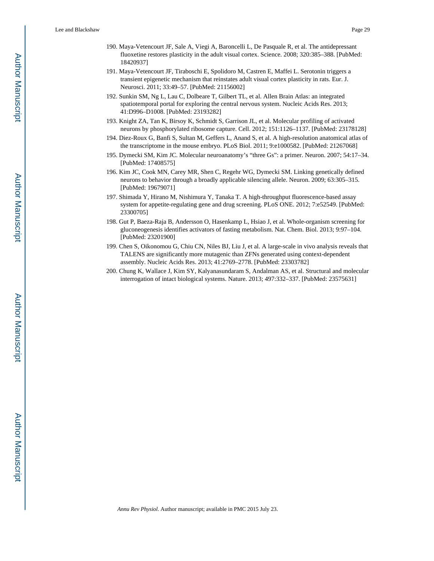- 190. Maya-Vetencourt JF, Sale A, Viegi A, Baroncelli L, De Pasquale R, et al. The antidepressant fluoxetine restores plasticity in the adult visual cortex. Science. 2008; 320:385–388. [PubMed: 18420937]
- 191. Maya-Vetencourt JF, Tiraboschi E, Spolidoro M, Castren E, Maffei L. Serotonin triggers a transient epigenetic mechanism that reinstates adult visual cortex plasticity in rats. Eur. J. Neurosci. 2011; 33:49–57. [PubMed: 21156002]
- 192. Sunkin SM, Ng L, Lau C, Dolbeare T, Gilbert TL, et al. Allen Brain Atlas: an integrated spatiotemporal portal for exploring the central nervous system. Nucleic Acids Res. 2013; 41:D996–D1008. [PubMed: 23193282]
- 193. Knight ZA, Tan K, Birsoy K, Schmidt S, Garrison JL, et al. Molecular profiling of activated neurons by phosphorylated ribosome capture. Cell. 2012; 151:1126–1137. [PubMed: 23178128]
- 194. Diez-Roux G, Banfi S, Sultan M, Geffers L, Anand S, et al. A high-resolution anatomical atlas of the transcriptome in the mouse embryo. PLoS Biol. 2011; 9:e1000582. [PubMed: 21267068]
- 195. Dymecki SM, Kim JC. Molecular neuroanatomy's "three Gs": a primer. Neuron. 2007; 54:17–34. [PubMed: 17408575]
- 196. Kim JC, Cook MN, Carey MR, Shen C, Regehr WG, Dymecki SM. Linking genetically defined neurons to behavior through a broadly applicable silencing allele. Neuron. 2009; 63:305–315. [PubMed: 19679071]
- 197. Shimada Y, Hirano M, Nishimura Y, Tanaka T. A high-throughput fluorescence-based assay system for appetite-regulating gene and drug screening. PLoS ONE. 2012; 7:e52549. [PubMed: 23300705]
- 198. Gut P, Baeza-Raja B, Andersson O, Hasenkamp L, Hsiao J, et al. Whole-organism screening for gluconeogenesis identifies activators of fasting metabolism. Nat. Chem. Biol. 2013; 9:97–104. [PubMed: 23201900]
- 199. Chen S, Oikonomou G, Chiu CN, Niles BJ, Liu J, et al. A large-scale in vivo analysis reveals that TALENS are significantly more mutagenic than ZFNs generated using context-dependent assembly. Nucleic Acids Res. 2013; 41:2769–2778. [PubMed: 23303782]
- 200. Chung K, Wallace J, Kim SY, Kalyanasundaram S, Andalman AS, et al. Structural and molecular interrogation of intact biological systems. Nature. 2013; 497:332–337. [PubMed: 23575631]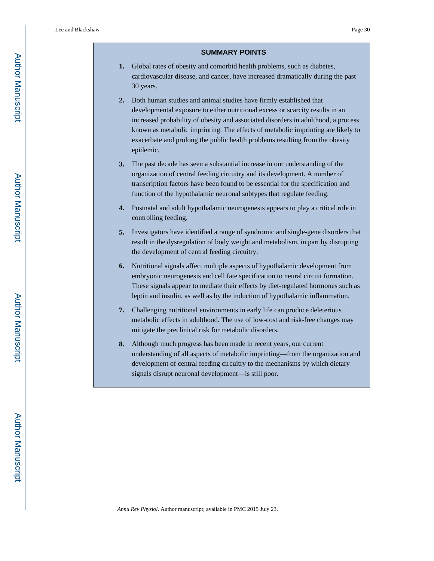#### **SUMMARY POINTS**

- **1.** Global rates of obesity and comorbid health problems, such as diabetes, cardiovascular disease, and cancer, have increased dramatically during the past 30 years.
- **2.** Both human studies and animal studies have firmly established that developmental exposure to either nutritional excess or scarcity results in an increased probability of obesity and associated disorders in adulthood, a process known as metabolic imprinting. The effects of metabolic imprinting are likely to exacerbate and prolong the public health problems resulting from the obesity epidemic.
- **3.** The past decade has seen a substantial increase in our understanding of the organization of central feeding circuitry and its development. A number of transcription factors have been found to be essential for the specification and function of the hypothalamic neuronal subtypes that regulate feeding.
- **4.** Postnatal and adult hypothalamic neurogenesis appears to play a critical role in controlling feeding.
- **5.** Investigators have identified a range of syndromic and single-gene disorders that result in the dysregulation of body weight and metabolism, in part by disrupting the development of central feeding circuitry.
- **6.** Nutritional signals affect multiple aspects of hypothalamic development from embryonic neurogenesis and cell fate specification to neural circuit formation. These signals appear to mediate their effects by diet-regulated hormones such as leptin and insulin, as well as by the induction of hypothalamic inflammation.
- **7.** Challenging nutritional environments in early life can produce deleterious metabolic effects in adulthood. The use of low-cost and risk-free changes may mitigate the preclinical risk for metabolic disorders.
- **8.** Although much progress has been made in recent years, our current understanding of all aspects of metabolic imprinting—from the organization and development of central feeding circuitry to the mechanisms by which dietary signals disrupt neuronal development—is still poor.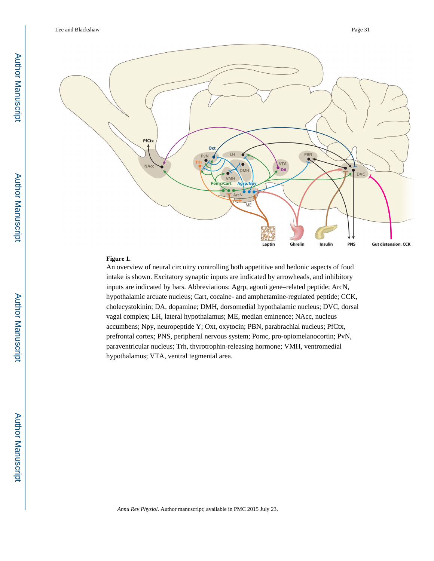

#### **Figure 1.**

An overview of neural circuitry controlling both appetitive and hedonic aspects of food intake is shown. Excitatory synaptic inputs are indicated by arrowheads, and inhibitory inputs are indicated by bars. Abbreviations: Agrp, agouti gene–related peptide; ArcN, hypothalamic arcuate nucleus; Cart, cocaine- and amphetamine-regulated peptide; CCK, cholecystokinin; DA, dopamine; DMH, dorsomedial hypothalamic nucleus; DVC, dorsal vagal complex; LH, lateral hypothalamus; ME, median eminence; NAcc, nucleus accumbens; Npy, neuropeptide Y; Oxt, oxytocin; PBN, parabrachial nucleus; PfCtx, prefrontal cortex; PNS, peripheral nervous system; Pomc, pro-opiomelanocortin; PvN, paraventricular nucleus; Trh, thyrotrophin-releasing hormone; VMH, ventromedial hypothalamus; VTA, ventral tegmental area.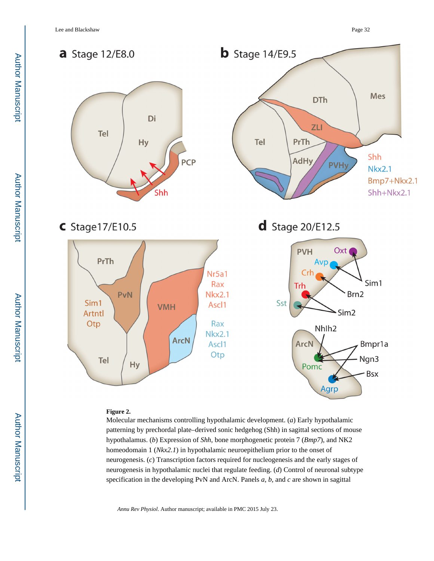

#### **Figure 2.**

Molecular mechanisms controlling hypothalamic development. (*a*) Early hypothalamic patterning by prechordal plate–derived sonic hedgehog (Shh) in sagittal sections of mouse hypothalamus. (*b*) Expression of *Shh*, bone morphogenetic protein 7 (*Bmp7*), and NK2 homeodomain 1 (*Nkx2.1*) in hypothalamic neuroepithelium prior to the onset of neurogenesis. (*c*) Transcription factors required for nucleogenesis and the early stages of neurogenesis in hypothalamic nuclei that regulate feeding. (*d*) Control of neuronal subtype specification in the developing PvN and ArcN. Panels *a*, *b*, and *c* are shown in sagittal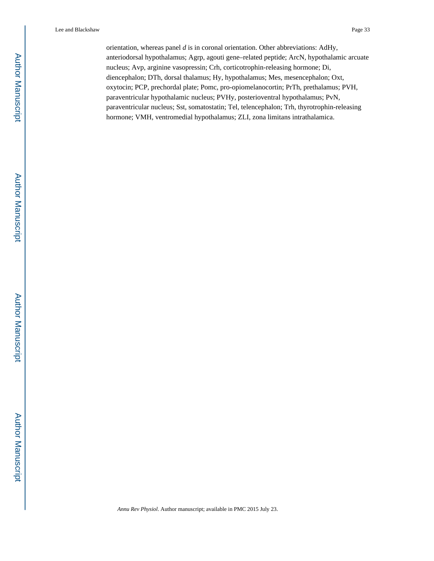orientation, whereas panel *d* is in coronal orientation. Other abbreviations: AdHy, anteriodorsal hypothalamus; Agrp, agouti gene–related peptide; ArcN, hypothalamic arcuate nucleus; Avp, arginine vasopressin; Crh, corticotrophin-releasing hormone; Di, diencephalon; DTh, dorsal thalamus; Hy, hypothalamus; Mes, mesencephalon; Oxt, oxytocin; PCP, prechordal plate; Pomc, pro-opiomelanocortin; PrTh, prethalamus; PVH, paraventricular hypothalamic nucleus; PVHy, posterioventral hypothalamus; PvN, paraventricular nucleus; Sst, somatostatin; Tel, telencephalon; Trh, thyrotrophin-releasing hormone; VMH, ventromedial hypothalamus; ZLI, zona limitans intrathalamica.